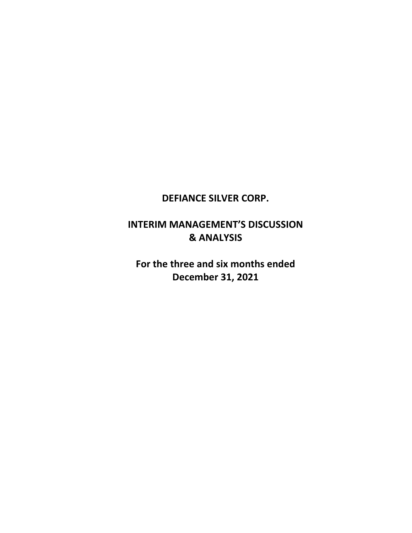# **DEFIANCE SILVER CORP.**

# **INTERIM MANAGEMENT'S DISCUSSION & ANALYSIS**

**For the three and six months ended December 31, 2021**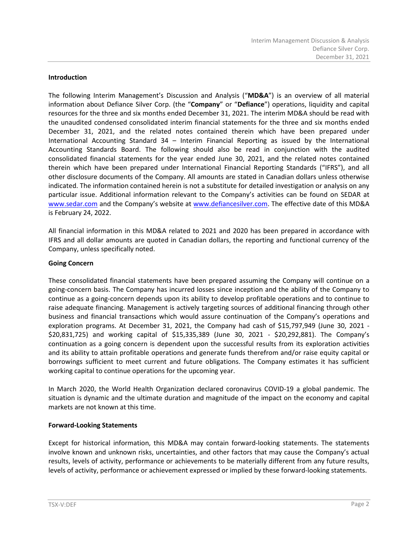## **Introduction**

The following Interim Management's Discussion and Analysis ("**MD&A**") is an overview of all material information about Defiance Silver Corp. (the "**Company**" or "**Defiance**") operations, liquidity and capital resources for the three and six months ended December 31, 2021. The interim MD&A should be read with the unaudited condensed consolidated interim financial statements for the three and six months ended December 31, 2021, and the related notes contained therein which have been prepared under International Accounting Standard 34 – Interim Financial Reporting as issued by the International Accounting Standards Board. The following should also be read in conjunction with the audited consolidated financial statements for the year ended June 30, 2021, and the related notes contained therein which have been prepared under International Financial Reporting Standards ("IFRS"), and all other disclosure documents of the Company. All amounts are stated in Canadian dollars unless otherwise indicated. The information contained herein is not a substitute for detailed investigation or analysis on any particular issue. Additional information relevant to the Company's activities can be found on SEDAR at [www.sedar.com](http://www.sedar.com/) and the Company's website at [www.defiancesilver.](http://www.defiancesilver/)com. The effective date of this MD&A is February 24, 2022.

All financial information in this MD&A related to 2021 and 2020 has been prepared in accordance with IFRS and all dollar amounts are quoted in Canadian dollars, the reporting and functional currency of the Company, unless specifically noted.

### **Going Concern**

These consolidated financial statements have been prepared assuming the Company will continue on a going-concern basis. The Company has incurred losses since inception and the ability of the Company to continue as a going-concern depends upon its ability to develop profitable operations and to continue to raise adequate financing. Management is actively targeting sources of additional financing through other business and financial transactions which would assure continuation of the Company's operations and exploration programs. At December 31, 2021, the Company had cash of \$15,797,949 (June 30, 2021 - \$20,831,725) and working capital of \$15,335,389 (June 30, 2021 - \$20,292,881). The Company's continuation as a going concern is dependent upon the successful results from its exploration activities and its ability to attain profitable operations and generate funds therefrom and/or raise equity capital or borrowings sufficient to meet current and future obligations. The Company estimates it has sufficient working capital to continue operations for the upcoming year.

In March 2020, the World Health Organization declared coronavirus COVID-19 a global pandemic. The situation is dynamic and the ultimate duration and magnitude of the impact on the economy and capital markets are not known at this time.

### **Forward-Looking Statements**

Except for historical information, this MD&A may contain forward-looking statements. The statements involve known and unknown risks, uncertainties, and other factors that may cause the Company's actual results, levels of activity, performance or achievements to be materially different from any future results, levels of activity, performance or achievement expressed or implied by these forward-looking statements.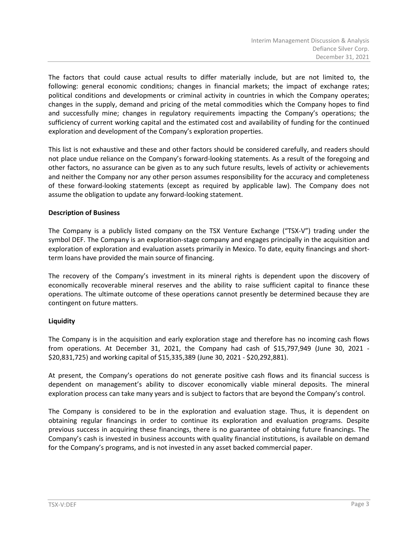The factors that could cause actual results to differ materially include, but are not limited to, the following: general economic conditions; changes in financial markets; the impact of exchange rates; political conditions and developments or criminal activity in countries in which the Company operates; changes in the supply, demand and pricing of the metal commodities which the Company hopes to find and successfully mine; changes in regulatory requirements impacting the Company's operations; the sufficiency of current working capital and the estimated cost and availability of funding for the continued exploration and development of the Company's exploration properties.

This list is not exhaustive and these and other factors should be considered carefully, and readers should not place undue reliance on the Company's forward-looking statements. As a result of the foregoing and other factors, no assurance can be given as to any such future results, levels of activity or achievements and neither the Company nor any other person assumes responsibility for the accuracy and completeness of these forward-looking statements (except as required by applicable law). The Company does not assume the obligation to update any forward-looking statement.

# **Description of Business**

The Company is a publicly listed company on the TSX Venture Exchange ("TSX-V") trading under the symbol DEF. The Company is an exploration-stage company and engages principally in the acquisition and exploration of exploration and evaluation assets primarily in Mexico. To date, equity financings and shortterm loans have provided the main source of financing.

The recovery of the Company's investment in its mineral rights is dependent upon the discovery of economically recoverable mineral reserves and the ability to raise sufficient capital to finance these operations. The ultimate outcome of these operations cannot presently be determined because they are contingent on future matters.

# **Liquidity**

The Company is in the acquisition and early exploration stage and therefore has no incoming cash flows from operations. At December 31, 2021, the Company had cash of \$15,797,949 (June 30, 2021 - \$20,831,725) and working capital of \$15,335,389 (June 30, 2021 - \$20,292,881).

At present, the Company's operations do not generate positive cash flows and its financial success is dependent on management's ability to discover economically viable mineral deposits. The mineral exploration process can take many years and is subject to factors that are beyond the Company's control.

The Company is considered to be in the exploration and evaluation stage. Thus, it is dependent on obtaining regular financings in order to continue its exploration and evaluation programs. Despite previous success in acquiring these financings, there is no guarantee of obtaining future financings. The Company's cash is invested in business accounts with quality financial institutions, is available on demand for the Company's programs, and is not invested in any asset backed commercial paper.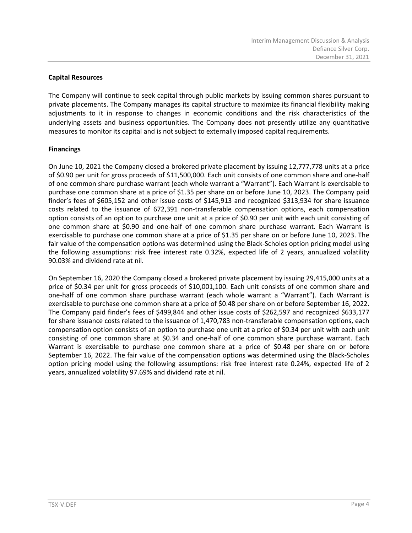# **Capital Resources**

The Company will continue to seek capital through public markets by issuing common shares pursuant to private placements. The Company manages its capital structure to maximize its financial flexibility making adjustments to it in response to changes in economic conditions and the risk characteristics of the underlying assets and business opportunities. The Company does not presently utilize any quantitative measures to monitor its capital and is not subject to externally imposed capital requirements.

# **Financings**

On June 10, 2021 the Company closed a brokered private placement by issuing 12,777,778 units at a price of \$0.90 per unit for gross proceeds of \$11,500,000. Each unit consists of one common share and one-half of one common share purchase warrant (each whole warrant a "Warrant"). Each Warrant is exercisable to purchase one common share at a price of \$1.35 per share on or before June 10, 2023. The Company paid finder's fees of \$605,152 and other issue costs of \$145,913 and recognized \$313,934 for share issuance costs related to the issuance of 672,391 non-transferable compensation options, each compensation option consists of an option to purchase one unit at a price of \$0.90 per unit with each unit consisting of one common share at \$0.90 and one-half of one common share purchase warrant. Each Warrant is exercisable to purchase one common share at a price of \$1.35 per share on or before June 10, 2023. The fair value of the compensation options was determined using the Black-Scholes option pricing model using the following assumptions: risk free interest rate 0.32%, expected life of 2 years, annualized volatility 90.03% and dividend rate at nil.

On September 16, 2020 the Company closed a brokered private placement by issuing 29,415,000 units at a price of \$0.34 per unit for gross proceeds of \$10,001,100. Each unit consists of one common share and one-half of one common share purchase warrant (each whole warrant a "Warrant"). Each Warrant is exercisable to purchase one common share at a price of \$0.48 per share on or before September 16, 2022. The Company paid finder's fees of \$499,844 and other issue costs of \$262,597 and recognized \$633,177 for share issuance costs related to the issuance of 1,470,783 non-transferable compensation options, each compensation option consists of an option to purchase one unit at a price of \$0.34 per unit with each unit consisting of one common share at \$0.34 and one-half of one common share purchase warrant. Each Warrant is exercisable to purchase one common share at a price of \$0.48 per share on or before September 16, 2022. The fair value of the compensation options was determined using the Black-Scholes option pricing model using the following assumptions: risk free interest rate 0.24%, expected life of 2 years, annualized volatility 97.69% and dividend rate at nil.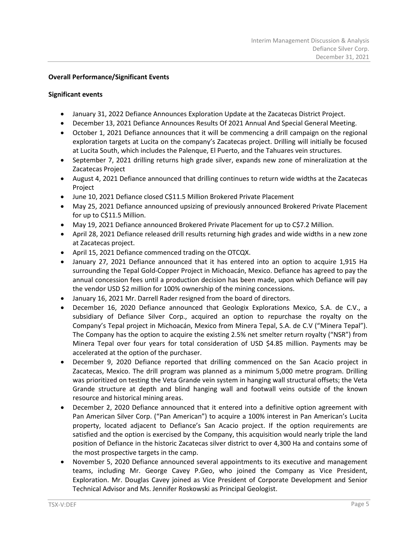# **Overall Performance/Significant Events**

# **Significant events**

- January 31, 2022 Defiance Announces Exploration Update at the Zacatecas District Project.
- December 13, 2021 Defiance Announces Results Of 2021 Annual And Special General Meeting.
- October 1, 2021 Defiance announces that it will be commencing a drill campaign on the regional exploration targets at Lucita on the company's Zacatecas project. Drilling will initially be focused at Lucita South, which includes the Palenque, El Puerto, and the Tahuares vein structures.
- September 7, 2021 drilling returns high grade silver, expands new zone of mineralization at the Zacatecas Project
- August 4, 2021 Defiance announced that drilling continues to return wide widths at the Zacatecas Project
- June 10, 2021 Defiance closed C\$11.5 Million Brokered Private Placement
- May 25, 2021 Defiance announced upsizing of previously announced Brokered Private Placement for up to C\$11.5 Million.
- May 19, 2021 Defiance announced Brokered Private Placement for up to C\$7.2 Million.
- April 28, 2021 Defiance released drill results returning high grades and wide widths in a new zone at Zacatecas project.
- April 15, 2021 Defiance commenced trading on the OTCQX.
- January 27, 2021 Defiance announced that it has entered into an option to acquire 1,915 Ha surrounding the Tepal Gold-Copper Project in Michoacán, Mexico. Defiance has agreed to pay the annual concession fees until a production decision has been made, upon which Defiance will pay the vendor USD \$2 million for 100% ownership of the mining concessions.
- January 16, 2021 Mr. Darrell Rader resigned from the board of directors.
- December 16, 2020 Defiance announced that Geologix Explorations Mexico, S.A. de C.V., a subsidiary of Defiance Silver Corp., acquired an option to repurchase the royalty on the Company's Tepal project in Michoacán, Mexico from Minera Tepal, S.A. de C.V ("Minera Tepal"). The Company has the option to acquire the existing 2.5% net smelter return royalty ("NSR") from Minera Tepal over four years for total consideration of USD \$4.85 million. Payments may be accelerated at the option of the purchaser.
- December 9, 2020 Defiance reported that drilling commenced on the San Acacio project in Zacatecas, Mexico. The drill program was planned as a minimum 5,000 metre program. Drilling was prioritized on testing the Veta Grande vein system in hanging wall structural offsets; the Veta Grande structure at depth and blind hanging wall and footwall veins outside of the known resource and historical mining areas.
- December 2, 2020 Defiance announced that it entered into a definitive option agreement with Pan American Silver Corp. ("Pan American") to acquire a 100% interest in Pan American's Lucita property, located adjacent to Defiance's San Acacio project. If the option requirements are satisfied and the option is exercised by the Company, this acquisition would nearly triple the land position of Defiance in the historic Zacatecas silver district to over 4,300 Ha and contains some of the most prospective targets in the camp.
- November 5, 2020 Defiance announced several appointments to its executive and management teams, including Mr. George Cavey P.Geo, who joined the Company as Vice President, Exploration. Mr. Douglas Cavey joined as Vice President of Corporate Development and Senior Technical Advisor and Ms. Jennifer Roskowski as Principal Geologist.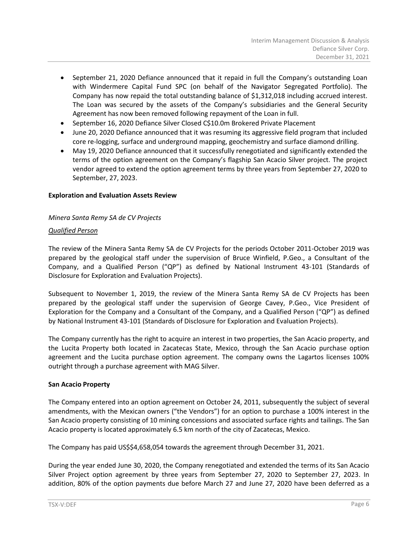- September 21, 2020 Defiance announced that it repaid in full the Company's outstanding Loan with Windermere Capital Fund SPC (on behalf of the Navigator Segregated Portfolio). The Company has now repaid the total outstanding balance of \$1,312,018 including accrued interest. The Loan was secured by the assets of the Company's subsidiaries and the General Security Agreement has now been removed following repayment of the Loan in full.
- September 16, 2020 Defiance Silver Closed C\$10.0m Brokered Private Placement
- June 20, 2020 Defiance announced that it was resuming its aggressive field program that included core re-logging, surface and underground mapping, geochemistry and surface diamond drilling.
- May 19, 2020 Defiance announced that it successfully renegotiated and significantly extended the terms of the option agreement on the Company's flagship San Acacio Silver project. The project vendor agreed to extend the option agreement terms by three years from September 27, 2020 to September, 27, 2023.

# **Exploration and Evaluation Assets Review**

## *Minera Santa Remy SA de CV Projects*

## *Qualified Person*

The review of the Minera Santa Remy SA de CV Projects for the periods October 2011-October 2019 was prepared by the geological staff under the supervision of Bruce Winfield, P.Geo., a Consultant of the Company, and a Qualified Person ("QP") as defined by National Instrument 43-101 (Standards of Disclosure for Exploration and Evaluation Projects).

Subsequent to November 1, 2019, the review of the Minera Santa Remy SA de CV Projects has been prepared by the geological staff under the supervision of George Cavey, P.Geo., Vice President of Exploration for the Company and a Consultant of the Company, and a Qualified Person ("QP") as defined by National Instrument 43-101 (Standards of Disclosure for Exploration and Evaluation Projects).

The Company currently has the right to acquire an interest in two properties, the San Acacio property, and the Lucita Property both located in Zacatecas State, Mexico, through the San Acacio purchase option agreement and the Lucita purchase option agreement. The company owns the Lagartos licenses 100% outright through a purchase agreement with MAG Silver.

#### **San Acacio Property**

The Company entered into an option agreement on October 24, 2011, subsequently the subject of several amendments, with the Mexican owners ("the Vendors") for an option to purchase a 100% interest in the San Acacio property consisting of 10 mining concessions and associated surface rights and tailings. The San Acacio property is located approximately 6.5 km north of the city of Zacatecas, Mexico.

The Company has paid US\$\$4,658,054 towards the agreement through December 31, 2021.

During the year ended June 30, 2020, the Company renegotiated and extended the terms of its San Acacio Silver Project option agreement by three years from September 27, 2020 to September 27, 2023. In addition, 80% of the option payments due before March 27 and June 27, 2020 have been deferred as a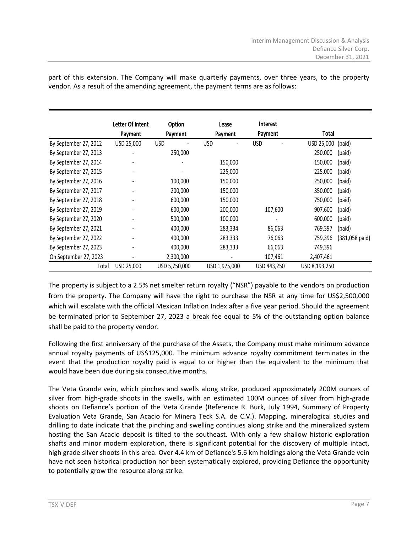|                       | <b>Letter Of Intent</b> | <b>Option</b> | Lease         | <b>Interest</b> |               |                          |
|-----------------------|-------------------------|---------------|---------------|-----------------|---------------|--------------------------|
|                       | Payment                 | Payment       | Payment       | Payment         | Total         |                          |
| By September 27, 2012 | USD 25,000              | <b>USD</b>    | <b>USD</b>    | <b>USD</b>      | USD 25,000    | (paid)                   |
| By September 27, 2013 |                         | 250,000       |               |                 | 250,000       | (paid)                   |
| By September 27, 2014 |                         |               | 150,000       |                 | 150,000       | (paid)                   |
| By September 27, 2015 |                         |               | 225,000       |                 | 225,000       | (paid)                   |
| By September 27, 2016 |                         | 100,000       | 150,000       |                 | 250,000       | (paid)                   |
| By September 27, 2017 |                         | 200,000       | 150,000       |                 | 350,000       | (paid)                   |
| By September 27, 2018 |                         | 600,000       | 150,000       |                 | 750,000       | (paid)                   |
| By September 27, 2019 |                         | 600,000       | 200,000       | 107,600         | 907,600       | (paid)                   |
| By September 27, 2020 |                         | 500,000       | 100,000       |                 | 600,000       | (paid)                   |
| By September 27, 2021 |                         | 400,000       | 283,334       | 86,063          | 769,397       | (paid)                   |
| By September 27, 2022 |                         | 400,000       | 283,333       | 76,063          | 759,396       | $(381,058 \text{ paid})$ |
| By September 27, 2023 |                         | 400,000       | 283,333       | 66,063          | 749,396       |                          |
| On September 27, 2023 |                         | 2,300,000     |               | 107,461         | 2,407,461     |                          |
| Total                 | USD 25,000              | USD 5,750,000 | USD 1,975,000 | USD 443,250     | USD 8,193,250 |                          |

part of this extension. The Company will make quarterly payments, over three years, to the property vendor. As a result of the amending agreement, the payment terms are as follows:

The property is subject to a 2.5% net smelter return royalty ("NSR") payable to the vendors on production from the property. The Company will have the right to purchase the NSR at any time for US\$2,500,000 which will escalate with the official Mexican Inflation Index after a five year period. Should the agreement be terminated prior to September 27, 2023 a break fee equal to 5% of the outstanding option balance shall be paid to the property vendor.

Following the first anniversary of the purchase of the Assets, the Company must make minimum advance annual royalty payments of US\$125,000. The minimum advance royalty commitment terminates in the event that the production royalty paid is equal to or higher than the equivalent to the minimum that would have been due during six consecutive months.

The Veta Grande vein, which pinches and swells along strike, produced approximately 200M ounces of silver from high-grade shoots in the swells, with an estimated 100M ounces of silver from high-grade shoots on Defiance's portion of the Veta Grande (Reference R. Burk, July 1994, Summary of Property Evaluation Veta Grande, San Acacio for Minera Teck S.A. de C.V.). Mapping, mineralogical studies and drilling to date indicate that the pinching and swelling continues along strike and the mineralized system hosting the San Acacio deposit is tilted to the southeast. With only a few shallow historic exploration shafts and minor modern exploration, there is significant potential for the discovery of multiple intact, high grade silver shoots in this area. Over 4.4 km of Defiance's 5.6 km holdings along the Veta Grande vein have not seen historical production nor been systematically explored, providing Defiance the opportunity to potentially grow the resource along strike.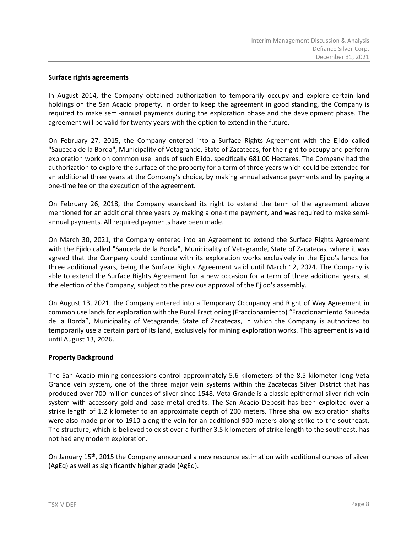## **Surface rights agreements**

In August 2014, the Company obtained authorization to temporarily occupy and explore certain land holdings on the San Acacio property. In order to keep the agreement in good standing, the Company is required to make semi-annual payments during the exploration phase and the development phase. The agreement will be valid for twenty years with the option to extend in the future.

On February 27, 2015, the Company entered into a Surface Rights Agreement with the Ejido called "Sauceda de la Borda", Municipality of Vetagrande, State of Zacatecas, for the right to occupy and perform exploration work on common use lands of such Ejido, specifically 681.00 Hectares. The Company had the authorization to explore the surface of the property for a term of three years which could be extended for an additional three years at the Company's choice, by making annual advance payments and by paying a one-time fee on the execution of the agreement.

On February 26, 2018, the Company exercised its right to extend the term of the agreement above mentioned for an additional three years by making a one-time payment, and was required to make semiannual payments. All required payments have been made.

On March 30, 2021, the Company entered into an Agreement to extend the Surface Rights Agreement with the Ejido called "Sauceda de la Borda", Municipality of Vetagrande, State of Zacatecas, where it was agreed that the Company could continue with its exploration works exclusively in the Ejido's lands for three additional years, being the Surface Rights Agreement valid until March 12, 2024. The Company is able to extend the Surface Rights Agreement for a new occasion for a term of three additional years, at the election of the Company, subject to the previous approval of the Ejido's assembly.

On August 13, 2021, the Company entered into a Temporary Occupancy and Right of Way Agreement in common use lands for exploration with the Rural Fractioning (Fraccionamiento) "Fraccionamiento Sauceda de la Borda", Municipality of Vetagrande, State of Zacatecas, in which the Company is authorized to temporarily use a certain part of its land, exclusively for mining exploration works. This agreement is valid until August 13, 2026.

#### **Property Background**

The San Acacio mining concessions control approximately 5.6 kilometers of the 8.5 kilometer long Veta Grande vein system, one of the three major vein systems within the Zacatecas Silver District that has produced over 700 million ounces of silver since 1548. Veta Grande is a classic epithermal silver rich vein system with accessory gold and base metal credits. The San Acacio Deposit has been exploited over a strike length of 1.2 kilometer to an approximate depth of 200 meters. Three shallow exploration shafts were also made prior to 1910 along the vein for an additional 900 meters along strike to the southeast. The structure, which is believed to exist over a further 3.5 kilometers of strike length to the southeast, has not had any modern exploration.

On January 15th, 2015 the Company announced a new resource estimation with additional ounces of silver (AgEq) as well as significantly higher grade (AgEq).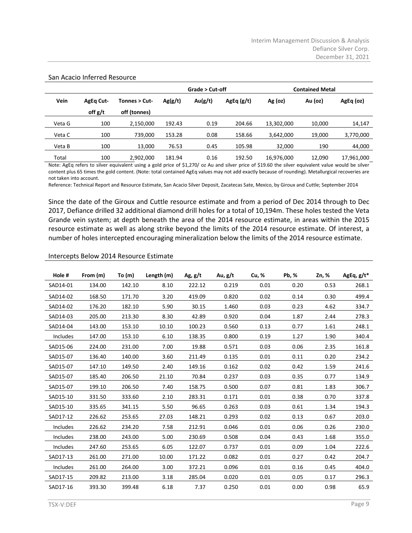|        |                  |               |         | Grade > Cut-off |           |            | <b>Contained Metal</b> |            |
|--------|------------------|---------------|---------|-----------------|-----------|------------|------------------------|------------|
| Vein   | <b>AgEq Cut-</b> | Tonnes > Cut- | Ag(g/t) | Au(g/t)         | AgEq(g/t) | $Ag$ (oz)  | Au (oz)                | AgEq (oz)  |
|        | off g/t          | off (tonnes)  |         |                 |           |            |                        |            |
| Veta G | 100              | 2,150,000     | 192.43  | 0.19            | 204.66    | 13,302,000 | 10,000                 | 14,147     |
| Veta C | 100              | 739.000       | 153.28  | 0.08            | 158.66    | 3,642,000  | 19,000                 | 3,770,000  |
| Veta B | 100              | 13.000        | 76.53   | 0.45            | 105.98    | 32,000     | 190                    | 44,000     |
| Total  | 100              | 2,902,000     | 181.94  | 0.16            | 192.50    | 16,976,000 | 12,090                 | 17,961,000 |

#### San Acacio Inferred Resource

Note: AgEq refers to silver equivalent using a gold price of \$1,270/ oz Au and silver price of \$19.60 the silver equivalent value would be silver content plus 65 times the gold content. (Note: total contained AgEq values may not add exactly because of rounding). Metallurgical recoveries are not taken into account.

Reference: Technical Report and Resource Estimate, San Acacio Silver Deposit, Zacatecas Sate, Mexico, by Giroux and Cuttle; September 2014

Since the date of the Giroux and Cuttle resource estimate and from a period of Dec 2014 through to Dec 2017, Defiance drilled 32 additional diamond drill holes for a total of 10,194m. These holes tested the Veta Grande vein system; at depth beneath the area of the 2014 resource estimate, in areas within the 2015 resource estimate as well as along strike beyond the limits of the 2014 resource estimate. Of interest, a number of holes intercepted encouraging mineralization below the limits of the 2014 resource estimate.

#### Intercepts Below 2014 Resource Estimate

| Hole #   | From (m) | To $(m)$ | Length (m) | Ag, $g/t$ | Au, g/t | Cu, % | Pb, % | Zn, % | AgEq, $g/t^*$ |
|----------|----------|----------|------------|-----------|---------|-------|-------|-------|---------------|
| SAD14-01 | 134.00   | 142.10   | 8.10       | 222.12    | 0.219   | 0.01  | 0.20  | 0.53  | 268.1         |
| SAD14-02 | 168.50   | 171.70   | 3.20       | 419.09    | 0.820   | 0.02  | 0.14  | 0.30  | 499.4         |
| SAD14-02 | 176.20   | 182.10   | 5.90       | 30.15     | 1.460   | 0.03  | 0.23  | 4.62  | 334.7         |
| SAD14-03 | 205.00   | 213.30   | 8.30       | 42.89     | 0.920   | 0.04  | 1.87  | 2.44  | 278.3         |
| SAD14-04 | 143.00   | 153.10   | 10.10      | 100.23    | 0.560   | 0.13  | 0.77  | 1.61  | 248.1         |
| Includes | 147.00   | 153.10   | 6.10       | 138.35    | 0.800   | 0.19  | 1.27  | 1.90  | 340.4         |
| SAD15-06 | 224.00   | 231.00   | 7.00       | 19.88     | 0.571   | 0.03  | 0.06  | 2.35  | 161.8         |
| SAD15-07 | 136.40   | 140.00   | 3.60       | 211.49    | 0.135   | 0.01  | 0.11  | 0.20  | 234.2         |
| SAD15-07 | 147.10   | 149.50   | 2.40       | 149.16    | 0.162   | 0.02  | 0.42  | 1.59  | 241.6         |
| SAD15-07 | 185.40   | 206.50   | 21.10      | 70.84     | 0.237   | 0.03  | 0.35  | 0.77  | 134.9         |
| SAD15-07 | 199.10   | 206.50   | 7.40       | 158.75    | 0.500   | 0.07  | 0.81  | 1.83  | 306.7         |
| SAD15-10 | 331.50   | 333.60   | 2.10       | 283.31    | 0.171   | 0.01  | 0.38  | 0.70  | 337.8         |
| SAD15-10 | 335.65   | 341.15   | 5.50       | 96.65     | 0.263   | 0.03  | 0.61  | 1.34  | 194.3         |
| SAD17-12 | 226.62   | 253.65   | 27.03      | 148.21    | 0.293   | 0.02  | 0.13  | 0.67  | 203.0         |
| Includes | 226.62   | 234.20   | 7.58       | 212.91    | 0.046   | 0.01  | 0.06  | 0.26  | 230.0         |
| Includes | 238.00   | 243.00   | 5.00       | 230.69    | 0.508   | 0.04  | 0.43  | 1.68  | 355.0         |
| Includes | 247.60   | 253.65   | 6.05       | 122.07    | 0.737   | 0.01  | 0.09  | 1.04  | 222.6         |
| SAD17-13 | 261.00   | 271.00   | 10.00      | 171.22    | 0.082   | 0.01  | 0.27  | 0.42  | 204.7         |
| Includes | 261.00   | 264.00   | 3.00       | 372.21    | 0.096   | 0.01  | 0.16  | 0.45  | 404.0         |
| SAD17-15 | 209.82   | 213.00   | 3.18       | 285.04    | 0.020   | 0.01  | 0.05  | 0.17  | 296.3         |
| SAD17-16 | 393.30   | 399.48   | 6.18       | 7.37      | 0.250   | 0.01  | 0.00  | 0.98  | 65.9          |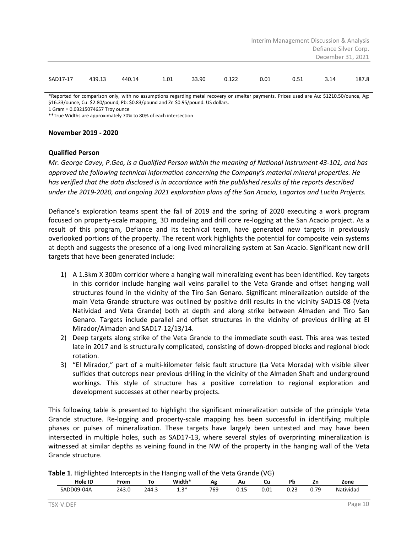|          |        |        |      |       |       |      |      | Interim Management Discussion & Analysis   |       |
|----------|--------|--------|------|-------|-------|------|------|--------------------------------------------|-------|
|          |        |        |      |       |       |      |      | Defiance Silver Corp.<br>December 31, 2021 |       |
|          |        |        |      |       |       |      |      |                                            |       |
| SAD17-17 | 439.13 | 440.14 | 1.01 | 33.90 | 0.122 | 0.01 | 0.51 | 3.14                                       | 187.8 |

\*Reported for comparison only, with no assumptions regarding metal recovery or smelter payments. Prices used are Au: \$1210.50/ounce, Ag: \$16.33/ounce, Cu: \$2.80/pound, Pb: \$0.83/pound and Zn \$0.95/pound. US dollars.

1 Gram = 0.03215074657 Troy ounce

\*\*True Widths are approximately 70% to 80% of each intersection

#### **November 2019 - 2020**

#### **Qualified Person**

*Mr. George Cavey, P.Geo, is a Qualified Person within the meaning of National Instrument 43-101, and has approved the following technical information concerning the Company's material mineral properties. He has verified that the data disclosed is in accordance with the published results of the reports described under the 2019-2020, and ongoing 2021 exploration plans of the San Acacio, Lagartos and Lucita Projects.*

Defiance's exploration teams spent the fall of 2019 and the spring of 2020 executing a work program focused on property-scale mapping, 3D modeling and drill core re-logging at the San Acacio project. As a result of this program, Defiance and its technical team, have generated new targets in previously overlooked portions of the property. The recent work highlights the potential for composite vein systems at depth and suggests the presence of a long-lived mineralizing system at San Acacio. Significant new drill targets that have been generated include:

- 1) A 1.3km X 300m corridor where a hanging wall mineralizing event has been identified. Key targets in this corridor include hanging wall veins parallel to the Veta Grande and offset hanging wall structures found in the vicinity of the Tiro San Genaro. Significant mineralization outside of the main Veta Grande structure was outlined by positive drill results in the vicinity SAD15-08 (Veta Natividad and Veta Grande) both at depth and along strike between Almaden and Tiro San Genaro. Targets include parallel and offset structures in the vicinity of previous drilling at El Mirador/Almaden and SAD17-12/13/14.
- 2) Deep targets along strike of the Veta Grande to the immediate south east. This area was tested late in 2017 and is structurally complicated, consisting of down-dropped blocks and regional block rotation.
- 3) "El Mirador," part of a multi-kilometer felsic fault structure (La Veta Morada) with visible silver sulfides that outcrops near previous drilling in the vicinity of the Almaden Shaft and underground workings. This style of structure has a positive correlation to regional exploration and development successes at other nearby projects.

This following table is presented to highlight the significant mineralization outside of the principle Veta Grande structure. Re-logging and property-scale mapping has been successful in identifying multiple phases or pulses of mineralization. These targets have largely been untested and may have been intersected in multiple holes, such as SAD17-13, where several styles of overprinting mineralization is witnessed at similar depths as veining found in the NW of the property in the hanging wall of the Veta Grande structure.

| Table 1. Highlighted Intercepts in the Hanging wall of the Veta Grande (VG) |  |  |  |  |  |
|-----------------------------------------------------------------------------|--|--|--|--|--|
|-----------------------------------------------------------------------------|--|--|--|--|--|

| -<br>--        |       |       | -<br>-         |          |                                       |      |             |              |           |  |
|----------------|-------|-------|----------------|----------|---------------------------------------|------|-------------|--------------|-----------|--|
| <b>Hole ID</b> | From  | יי    | Width*         | Λ σ<br>℡ | Αu                                    | Cu   | nı          |              | Zone      |  |
| SADD09-04A     | 243.0 | 244.3 | ົາ≯<br><b></b> | 769      | $\overline{a}$ $\overline{b}$<br>∪.⊥J | 0.01 | ר ה<br>u.za | 70<br>U. / Y | Natividad |  |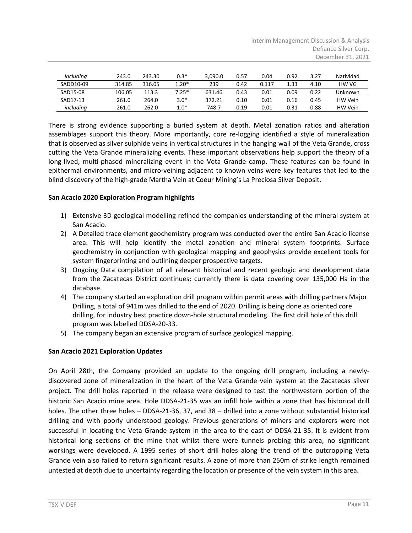| including | 243.0  | 243.30 | $0.3*$  | 3.090.0 | 0.57 | 0.04  | 0.92 | 3.27 | Natividad |
|-----------|--------|--------|---------|---------|------|-------|------|------|-----------|
| SADD10-09 | 314.85 | 316.05 | $1.20*$ | 239     | 0.42 | 0.117 | 1.33 | 4.10 | HW VG     |
| SAD15-08  | 106.05 | 113.3  | $7.25*$ | 631.46  | 0.43 | 0.01  | 0.09 | 0.22 | Unknown   |
| SAD17-13  | 261.0  | 264.0  | $3.0*$  | 372.21  | 0.10 | 0.01  | 0.16 | 0.45 | HW Vein   |
| including | 261.0  | 262.0  | $1.0*$  | 748.7   | 0.19 | 0.01  | 0.31 | 0.88 | HW Vein   |

There is strong evidence supporting a buried system at depth. Metal zonation ratios and alteration assemblages support this theory. More importantly, core re-logging identified a style of mineralization that is observed as silver sulphide veins in vertical structures in the hanging wall of the Veta Grande, cross cutting the Veta Grande mineralizing events. These important observations help support the theory of a long-lived, multi-phased mineralizing event in the Veta Grande camp. These features can be found in epithermal environments, and micro-veining adjacent to known veins were key features that led to the blind discovery of the high-grade Martha Vein at Coeur Mining's La Preciosa Silver Deposit.

# **San Acacio 2020 Exploration Program highlights**

- 1) Extensive 3D geological modelling refined the companies understanding of the mineral system at San Acacio.
- 2) A Detailed trace element geochemistry program was conducted over the entire San Acacio license area. This will help identify the metal zonation and mineral system footprints. Surface geochemistry in conjunction with geological mapping and geophysics provide excellent tools for system fingerprinting and outlining deeper prospective targets.
- 3) Ongoing Data compilation of all relevant historical and recent geologic and development data from the Zacatecas District continues; currently there is data covering over 135,000 Ha in the database.
- 4) The company started an exploration drill program within permit areas with drilling partners Major Drilling, a total of 941m was drilled to the end of 2020. Drilling is being done as oriented core drilling, for industry best practice down-hole structural modeling. The first drill hole of this drill program was labelled DDSA-20-33.
- 5) The company began an extensive program of surface geological mapping.

# **San Acacio 2021 Exploration Updates**

On April 28th, the Company provided an update to the ongoing drill program, including a newlydiscovered zone of mineralization in the heart of the Veta Grande vein system at the Zacatecas silver project. The drill holes reported in the release were designed to test the northwestern portion of the historic San Acacio mine area. Hole DDSA-21-35 was an infill hole within a zone that has historical drill holes. The other three holes – DDSA-21-36, 37, and 38 – drilled into a zone without substantial historical drilling and with poorly understood geology. Previous generations of miners and explorers were not successful in locating the Veta Grande system in the area to the east of DDSA-21-35. It is evident from historical long sections of the mine that whilst there were tunnels probing this area, no significant workings were developed. A 1995 series of short drill holes along the trend of the outcropping Veta Grande vein also failed to return significant results. A zone of more than 250m of strike length remained untested at depth due to uncertainty regarding the location or presence of the vein system in this area.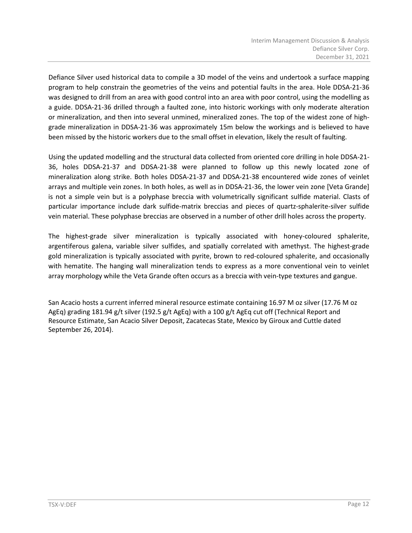Defiance Silver used historical data to compile a 3D model of the veins and undertook a surface mapping program to help constrain the geometries of the veins and potential faults in the area. Hole DDSA-21-36 was designed to drill from an area with good control into an area with poor control, using the modelling as a guide. DDSA-21-36 drilled through a faulted zone, into historic workings with only moderate alteration or mineralization, and then into several unmined, mineralized zones. The top of the widest zone of highgrade mineralization in DDSA-21-36 was approximately 15m below the workings and is believed to have been missed by the historic workers due to the small offset in elevation, likely the result of faulting.

Using the updated modelling and the structural data collected from oriented core drilling in hole DDSA-21- 36, holes DDSA-21-37 and DDSA-21-38 were planned to follow up this newly located zone of mineralization along strike. Both holes DDSA-21-37 and DDSA-21-38 encountered wide zones of veinlet arrays and multiple vein zones. In both holes, as well as in DDSA-21-36, the lower vein zone [Veta Grande] is not a simple vein but is a polyphase breccia with volumetrically significant sulfide material. Clasts of particular importance include dark sulfide-matrix breccias and pieces of quartz-sphalerite-silver sulfide vein material. These polyphase breccias are observed in a number of other drill holes across the property.

The highest-grade silver mineralization is typically associated with honey-coloured sphalerite, argentiferous galena, variable silver sulfides, and spatially correlated with amethyst. The highest-grade gold mineralization is typically associated with pyrite, brown to red-coloured sphalerite, and occasionally with hematite. The hanging wall mineralization tends to express as a more conventional vein to veinlet array morphology while the Veta Grande often occurs as a breccia with vein-type textures and gangue.

San Acacio hosts a current inferred mineral resource estimate containing 16.97 M oz silver (17.76 M oz AgEq) grading 181.94 g/t silver (192.5 g/t AgEq) with a 100 g/t AgEq cut off (Technical Report and Resource Estimate, San Acacio Silver Deposit, Zacatecas State, Mexico by Giroux and Cuttle dated September 26, 2014).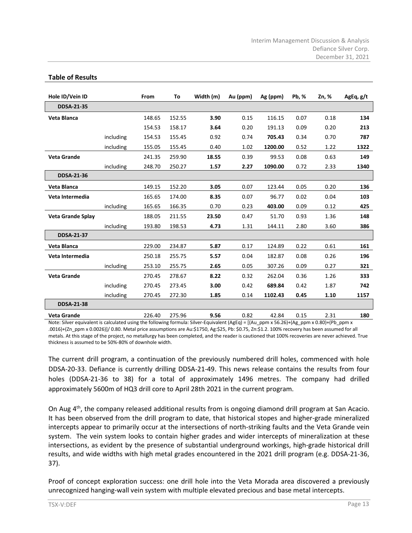| Hole ID/Vein ID          |           | From   | To     | Width (m) | Au (ppm) | Ag (ppm) | Pb, % | Zn, % | AgEq, g/t |
|--------------------------|-----------|--------|--------|-----------|----------|----------|-------|-------|-----------|
| <b>DDSA-21-35</b>        |           |        |        |           |          |          |       |       |           |
| Veta Blanca              |           | 148.65 | 152.55 | 3.90      | 0.15     | 116.15   | 0.07  | 0.18  | 134       |
|                          |           | 154.53 | 158.17 | 3.64      | 0.20     | 191.13   | 0.09  | 0.20  | 213       |
|                          | including | 154.53 | 155.45 | 0.92      | 0.74     | 705.43   | 0.34  | 0.70  | 787       |
|                          | including | 155.05 | 155.45 | 0.40      | 1.02     | 1200.00  | 0.52  | 1.22  | 1322      |
| <b>Veta Grande</b>       |           | 241.35 | 259.90 | 18.55     | 0.39     | 99.53    | 0.08  | 0.63  | 149       |
|                          | including | 248.70 | 250.27 | 1.57      | 2.27     | 1090.00  | 0.72  | 2.33  | 1340      |
| <b>DDSA-21-36</b>        |           |        |        |           |          |          |       |       |           |
| Veta Blanca              |           | 149.15 | 152.20 | 3.05      | 0.07     | 123.44   | 0.05  | 0.20  | 136       |
| Veta Intermedia          |           | 165.65 | 174.00 | 8.35      | 0.07     | 96.77    | 0.02  | 0.04  | 103       |
|                          | including | 165.65 | 166.35 | 0.70      | 0.23     | 403.00   | 0.09  | 0.12  | 425       |
| <b>Veta Grande Splay</b> |           | 188.05 | 211.55 | 23.50     | 0.47     | 51.70    | 0.93  | 1.36  | 148       |
|                          | including | 193.80 | 198.53 | 4.73      | 1.31     | 144.11   | 2.80  | 3.60  | 386       |
| <b>DDSA-21-37</b>        |           |        |        |           |          |          |       |       |           |
| Veta Blanca              |           | 229.00 | 234.87 | 5.87      | 0.17     | 124.89   | 0.22  | 0.61  | 161       |
| Veta Intermedia          |           | 250.18 | 255.75 | 5.57      | 0.04     | 182.87   | 0.08  | 0.26  | 196       |
|                          | including | 253.10 | 255.75 | 2.65      | 0.05     | 307.26   | 0.09  | 0.27  | 321       |
| <b>Veta Grande</b>       |           | 270.45 | 278.67 | 8.22      | 0.32     | 262.04   | 0.36  | 1.26  | 333       |
|                          | including | 270.45 | 273.45 | 3.00      | 0.42     | 689.84   | 0.42  | 1.87  | 742       |
|                          | including | 270.45 | 272.30 | 1.85      | 0.14     | 1102.43  | 0.45  | 1.10  | 1157      |
| <b>DDSA-21-38</b>        |           |        |        |           |          |          |       |       |           |
| <b>Veta Grande</b>       |           | 226.40 | 275.96 | 9.56      | 0.82     | 42.84    | 0.15  | 2.31  | 180       |

#### **Table of Results**

Note: Silver equivalent is calculated using the following formula: Silver-Equivalent (AgEq) = [(Au\_ppm x 56.26)+(Ag\_ppm x 0.80)+(Pb\_ppm x .0016)+(Zn\_ppm x 0.0026)]/ 0.80. Metal price assumptions are Au:\$1750, Ag:\$25, Pb: \$0.75, Zn:\$1.2. 100% recovery has been assumed for all metals. At this stage of the project, no metallurgy has been completed, and the reader is cautioned that 100% recoveries are never achieved. True thickness is assumed to be 50%-80% of downhole width.

The current drill program, a continuation of the previously numbered drill holes, commenced with hole DDSA-20-33. Defiance is currently drilling DDSA-21-49. This news release contains the results from four holes (DDSA-21-36 to 38) for a total of approximately 1496 metres. The company had drilled approximately 5600m of HQ3 drill core to April 28th 2021 in the current program.

On Aug 4<sup>th</sup>, the company released additional results from is ongoing diamond drill program at San Acacio. It has been observed from the drill program to date, that historical stopes and higher-grade mineralized intercepts appear to primarily occur at the intersections of north-striking faults and the Veta Grande vein system. The vein system looks to contain higher grades and wider intercepts of mineralization at these intersections, as evident by the presence of substantial underground workings, high-grade historical drill results, and wide widths with high metal grades encountered in the 2021 drill program (e.g. DDSA-21-36, 37).

Proof of concept exploration success: one drill hole into the Veta Morada area discovered a previously unrecognized hanging-wall vein system with multiple elevated precious and base metal intercepts.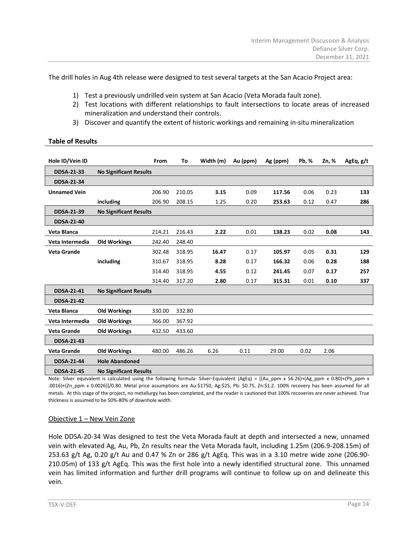The drill holes in Aug 4th release were designed to test several targets at the San Acacio Project area:

- 1) Test a previously undrilled vein system at San Acacio (Veta Morada fault zone).
- 2) Test locations with different relationships to fault intersections to locate areas of increased mineralization and understand their controls.
- 3) Discover and quantify the extent of historic workings and remaining in-situ mineralization

| Hole ID/Vein ID     |                               | From   | To     | Width (m) | Au (ppm) | Ag (ppm) | Pb, % | Zn, % | AgEq, g/t |
|---------------------|-------------------------------|--------|--------|-----------|----------|----------|-------|-------|-----------|
| <b>DDSA-21-33</b>   | <b>No Significant Results</b> |        |        |           |          |          |       |       |           |
| <b>DDSA-21-34</b>   |                               |        |        |           |          |          |       |       |           |
| <b>Unnamed Vein</b> |                               | 206.90 | 210.05 | 3.15      | 0.09     | 117.56   | 0.06  | 0.23  | 133       |
|                     | including                     | 206.90 | 208.15 | 1.25      | 0.20     | 253.63   | 0.12  | 0.47  | 286       |
| <b>DDSA-21-39</b>   | <b>No Significant Results</b> |        |        |           |          |          |       |       |           |
| <b>DDSA-21-40</b>   |                               |        |        |           |          |          |       |       |           |
| Veta Blanca         |                               | 214.21 | 216.43 | 2.22      | 0.01     | 138.23   | 0.02  | 0.08  | 143       |
| Veta Intermedia     | <b>Old Workings</b>           | 242.40 | 248.40 |           |          |          |       |       |           |
| <b>Veta Grande</b>  |                               | 302.48 | 318.95 | 16.47     | 0.17     | 105.97   | 0.05  | 0.31  | 129       |
|                     | including                     | 310.67 | 318.95 | 8.28      | 0.17     | 166.32   | 0.06  | 0.28  | 188       |
|                     |                               | 314.40 | 318.95 | 4.55      | 0.12     | 241.45   | 0.07  | 0.17  | 257       |
|                     |                               | 314.40 | 317.20 | 2.80      | 0.17     | 315.31   | 0.01  | 0.10  | 337       |
| <b>DDSA-21-41</b>   | <b>No Significant Results</b> |        |        |           |          |          |       |       |           |
| <b>DDSA-21-42</b>   |                               |        |        |           |          |          |       |       |           |
| Veta Blanca         | <b>Old Workings</b>           | 330.00 | 332.80 |           |          |          |       |       |           |
| Veta Intermedia     | <b>Old Workings</b>           | 366.00 | 367.92 |           |          |          |       |       |           |
| <b>Veta Grande</b>  | <b>Old Workings</b>           | 432.50 | 433.60 |           |          |          |       |       |           |
| <b>DDSA-21-43</b>   |                               |        |        |           |          |          |       |       |           |
| <b>Veta Grande</b>  | <b>Old Workings</b>           | 480.00 | 486.26 | 6.26      | 0.11     | 29.00    | 0.02  | 2.06  |           |
| <b>DDSA-21-44</b>   | <b>Hole Abandoned</b>         |        |        |           |          |          |       |       |           |
| <b>DDSA-21-45</b>   | <b>No Significant Results</b> |        |        |           |          |          |       |       |           |

**Table of Results**

Note: Silver equivalent is calculated using the following formula: Silver-Equivalent (AgEq) = [(Au\_ppm x 56.26)+(Ag\_ppm x 0.80)+(Pb\_ppm x .0016)+(Zn\_ppm x 0.0026)]/0.80. Metal price assumptions are Au:\$1750, Ag:\$25, Pb: \$0.75, Zn:\$1.2. 100% recovery has been assumed for all metals. At this stage of the project, no metallurgy has been completed, and the reader is cautioned that 100% recoveries are never achieved. True thickness is assumed to be 50%-80% of downhole width.

# Objective 1 – New Vein Zone

Hole DDSA-20-34 Was designed to test the Veta Morada fault at depth and intersected a new, unnamed vein with elevated Ag, Au, Pb, Zn results near the Veta Morada fault, including 1.25m (206.9-208.15m) of 253.63 g/t Ag, 0.20 g/t Au and 0.47 % Zn or 286 g/t AgEq. This was in a 3.10 metre wide zone (206.90- 210.05m) of 133 g/t AgEq. This was the first hole into a newly identified structural zone. This unnamed vein has limited information and further drill programs will continue to follow up on and delineate this vein.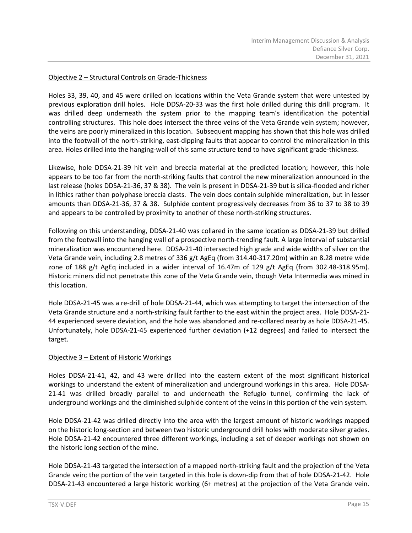# Objective 2 – Structural Controls on Grade-Thickness

Holes 33, 39, 40, and 45 were drilled on locations within the Veta Grande system that were untested by previous exploration drill holes. Hole DDSA-20-33 was the first hole drilled during this drill program. It was drilled deep underneath the system prior to the mapping team's identification the potential controlling structures. This hole does intersect the three veins of the Veta Grande vein system; however, the veins are poorly mineralized in this location. Subsequent mapping has shown that this hole was drilled into the footwall of the north-striking, east-dipping faults that appear to control the mineralization in this area. Holes drilled into the hanging-wall of this same structure tend to have significant grade-thickness.

Likewise, hole DDSA-21-39 hit vein and breccia material at the predicted location; however, this hole appears to be too far from the north-striking faults that control the new mineralization announced in the last release (holes DDSA-21-36, 37 & 38). The vein is present in DDSA-21-39 but is silica-flooded and richer in lithics rather than polyphase breccia clasts. The vein does contain sulphide mineralization, but in lesser amounts than DDSA-21-36, 37 & 38. Sulphide content progressively decreases from 36 to 37 to 38 to 39 and appears to be controlled by proximity to another of these north-striking structures.

Following on this understanding, DDSA-21-40 was collared in the same location as DDSA-21-39 but drilled from the footwall into the hanging wall of a prospective north-trending fault. A large interval of substantial mineralization was encountered here. DDSA-21-40 intersected high grade and wide widths of silver on the Veta Grande vein, including 2.8 metres of 336 g/t AgEq (from 314.40-317.20m) within an 8.28 metre wide zone of 188 g/t AgEq included in a wider interval of 16.47m of 129 g/t AgEq (from 302.48-318.95m). Historic miners did not penetrate this zone of the Veta Grande vein, though Veta Intermedia was mined in this location.

Hole DDSA-21-45 was a re-drill of hole DDSA-21-44, which was attempting to target the intersection of the Veta Grande structure and a north-striking fault farther to the east within the project area. Hole DDSA-21- 44 experienced severe deviation, and the hole was abandoned and re-collared nearby as hole DDSA-21-45. Unfortunately, hole DDSA-21-45 experienced further deviation (+12 degrees) and failed to intersect the target.

# Objective 3 – Extent of Historic Workings

Holes DDSA-21-41, 42, and 43 were drilled into the eastern extent of the most significant historical workings to understand the extent of mineralization and underground workings in this area. Hole DDSA-21-41 was drilled broadly parallel to and underneath the Refugio tunnel, confirming the lack of underground workings and the diminished sulphide content of the veins in this portion of the vein system.

Hole DDSA-21-42 was drilled directly into the area with the largest amount of historic workings mapped on the historic long-section and between two historic underground drill holes with moderate silver grades. Hole DDSA-21-42 encountered three different workings, including a set of deeper workings not shown on the historic long section of the mine.

Hole DDSA-21-43 targeted the intersection of a mapped north-striking fault and the projection of the Veta Grande vein; the portion of the vein targeted in this hole is down-dip from that of hole DDSA-21-42. Hole DDSA-21-43 encountered a large historic working (6+ metres) at the projection of the Veta Grande vein.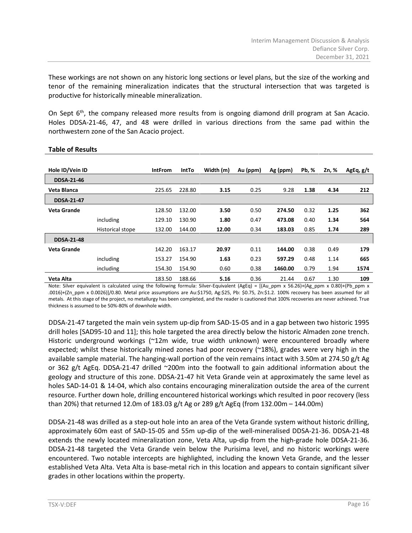These workings are not shown on any historic long sections or level plans, but the size of the working and tenor of the remaining mineralization indicates that the structural intersection that was targeted is productive for historically mineable mineralization.

On Sept  $6<sup>th</sup>$ , the company released more results from is ongoing diamond drill program at San Acacio. Holes DDSA-21-46, 47, and 48 were drilled in various directions from the same pad within the northwestern zone of the San Acacio project.

| Hole ID/Vein ID    |                  | <b>IntFrom</b> | <b>IntTo</b> | Width (m) | Au (ppm) | Ag (ppm) | Pb, % | Zn, % | AgEq, g/t |
|--------------------|------------------|----------------|--------------|-----------|----------|----------|-------|-------|-----------|
| <b>DDSA-21-46</b>  |                  |                |              |           |          |          |       |       |           |
| Veta Blanca        |                  | 225.65         | 228.80       | 3.15      | 0.25     | 9.28     | 1.38  | 4.34  | 212       |
| <b>DDSA-21-47</b>  |                  |                |              |           |          |          |       |       |           |
| <b>Veta Grande</b> |                  | 128.50         | 132.00       | 3.50      | 0.50     | 274.50   | 0.32  | 1.25  | 362       |
|                    | including        | 129.10         | 130.90       | 1.80      | 0.47     | 473.08   | 0.40  | 1.34  | 564       |
|                    | Historical stope | 132.00         | 144.00       | 12.00     | 0.34     | 183.03   | 0.85  | 1.74  | 289       |
| <b>DDSA-21-48</b>  |                  |                |              |           |          |          |       |       |           |
| Veta Grande        |                  | 142.20         | 163.17       | 20.97     | 0.11     | 144.00   | 0.38  | 0.49  | 179       |
|                    | including        | 153.27         | 154.90       | 1.63      | 0.23     | 597.29   | 0.48  | 1.14  | 665       |
|                    | including        | 154.30         | 154.90       | 0.60      | 0.38     | 1460.00  | 0.79  | 1.94  | 1574      |
| Veta Alta          |                  | 183.50         | 188.66       | 5.16      | 0.36     | 21.44    | 0.67  | 1.30  | 109       |

#### **Table of Results**

Note: Silver equivalent is calculated using the following formula: Silver-Equivalent (AgEq) =  $[(Au ppm x 56.26)+(Ag ppm x 0.80)+(Pb ppm x$ .0016)+(Zn\_ppm x 0.0026)]/0.80. Metal price assumptions are Au:\$1750, Ag:\$25, Pb: \$0.75, Zn:\$1.2. 100% recovery has been assumed for all metals. At this stage of the project, no metallurgy has been completed, and the reader is cautioned that 100% recoveries are never achieved. True thickness is assumed to be 50%-80% of downhole width.

DDSA-21-47 targeted the main vein system up-dip from SAD-15-05 and in a gap between two historic 1995 drill holes [SAD95-10 and 11]; this hole targeted the area directly below the historic Almaden zone trench. Historic underground workings (~12m wide, true width unknown) were encountered broadly where expected; whilst these historically mined zones had poor recovery  $(28%)$ , grades were very high in the available sample material. The hanging-wall portion of the vein remains intact with 3.50m at 274.50 g/t Ag or 362 g/t AgEq. DDSA-21-47 drilled ~200m into the footwall to gain additional information about the geology and structure of this zone. DDSA-21-47 hit Veta Grande vein at approximately the same level as holes SAD-14-01 & 14-04, which also contains encouraging mineralization outside the area of the current resource. Further down hole, drilling encountered historical workings which resulted in poor recovery (less than 20%) that returned 12.0m of 183.03 g/t Ag or 289 g/t AgEq (from 132.00m – 144.00m)

DDSA-21-48 was drilled as a step-out hole into an area of the Veta Grande system without historic drilling, approximately 60m east of SAD-15-05 and 55m up-dip of the well-mineralised DDSA-21-36. DDSA-21-48 extends the newly located mineralization zone, Veta Alta, up-dip from the high-grade hole DDSA-21-36. DDSA-21-48 targeted the Veta Grande vein below the Purisima level, and no historic workings were encountered. Two notable intercepts are highlighted, including the known Veta Grande, and the lesser established Veta Alta. Veta Alta is base-metal rich in this location and appears to contain significant silver grades in other locations within the property.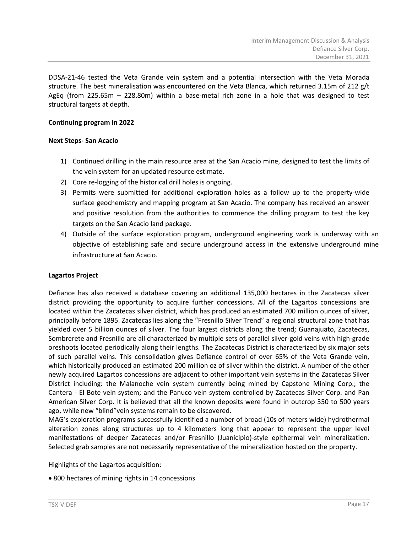DDSA-21-46 tested the Veta Grande vein system and a potential intersection with the Veta Morada structure. The best mineralisation was encountered on the Veta Blanca, which returned 3.15m of 212 g/t AgEq (from 225.65m – 228.80m) within a base-metal rich zone in a hole that was designed to test structural targets at depth.

## **Continuing program in 2022**

## **Next Steps- San Acacio**

- 1) Continued drilling in the main resource area at the San Acacio mine, designed to test the limits of the vein system for an updated resource estimate.
- 2) Core re-logging of the historical drill holes is ongoing.
- 3) Permits were submitted for additional exploration holes as a follow up to the property-wide surface geochemistry and mapping program at San Acacio. The company has received an answer and positive resolution from the authorities to commence the drilling program to test the key targets on the San Acacio land package.
- 4) Outside of the surface exploration program, underground engineering work is underway with an objective of establishing safe and secure underground access in the extensive underground mine infrastructure at San Acacio.

# **Lagartos Project**

Defiance has also received a database covering an additional 135,000 hectares in the Zacatecas silver district providing the opportunity to acquire further concessions. All of the Lagartos concessions are located within the Zacatecas silver district, which has produced an estimated 700 million ounces of silver, principally before 1895. Zacatecas lies along the "Fresnillo Silver Trend" a regional structural zone that has yielded over 5 billion ounces of silver. The four largest districts along the trend; Guanajuato, Zacatecas, Sombrerete and Fresnillo are all characterized by multiple sets of parallel silver-gold veins with high-grade oreshoots located periodically along their lengths. The Zacatecas District is characterized by six major sets of such parallel veins. This consolidation gives Defiance control of over 65% of the Veta Grande vein, which historically produced an estimated 200 million oz of silver within the district. A number of the other newly acquired Lagartos concessions are adjacent to other important vein systems in the Zacatecas Silver District including: the Malanoche vein system currently being mined by Capstone Mining Corp.; the Cantera - El Bote vein system; and the Panuco vein system controlled by Zacatecas Silver Corp. and Pan American Silver Corp. It is believed that all the known deposits were found in outcrop 350 to 500 years ago, while new "blind"vein systems remain to be discovered.

MAG's exploration programs successfully identified a number of broad (10s of meters wide) hydrothermal alteration zones along structures up to 4 kilometers long that appear to represent the upper level manifestations of deeper Zacatecas and/or Fresnillo (Juanicipio)-style epithermal vein mineralization. Selected grab samples are not necessarily representative of the mineralization hosted on the property.

Highlights of the Lagartos acquisition:

• 800 hectares of mining rights in 14 concessions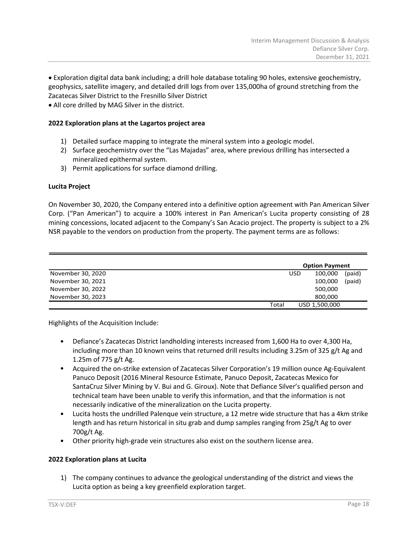• Exploration digital data bank including; a drill hole database totaling 90 holes, extensive geochemistry, geophysics, satellite imagery, and detailed drill logs from over 135,000ha of ground stretching from the Zacatecas Silver District to the Fresnillo Silver District

• All core drilled by MAG Silver in the district.

## **2022 Exploration plans at the Lagartos project area**

- 1) Detailed surface mapping to integrate the mineral system into a geologic model.
- 2) Surface geochemistry over the "Las Majadas" area, where previous drilling has intersected a mineralized epithermal system.
- 3) Permit applications for surface diamond drilling.

# **Lucita Project**

On November 30, 2020, the Company entered into a definitive option agreement with Pan American Silver Corp. ("Pan American") to acquire a 100% interest in Pan American's Lucita property consisting of 28 mining concessions, located adjacent to the Company's San Acacio project. The property is subject to a 2% NSR payable to the vendors on production from the property. The payment terms are as follows:

|                   |       | <b>Option Payment</b> |        |
|-------------------|-------|-----------------------|--------|
| November 30, 2020 |       | <b>USD</b><br>100,000 | (paid) |
| November 30, 2021 |       | 100,000               | (paid) |
| November 30, 2022 |       | 500,000               |        |
| November 30, 2023 |       | 800,000               |        |
|                   | Total | USD 1,500,000         |        |

Highlights of the Acquisition Include:

- Defiance's Zacatecas District landholding interests increased from 1,600 Ha to over 4,300 Ha, including more than 10 known veins that returned drill results including 3.25m of 325 g/t Ag and 1.25m of 775 g/t Ag.
- Acquired the on-strike extension of Zacatecas Silver Corporation's 19 million ounce Ag-Equivalent Panuco Deposit (2016 Mineral Resource Estimate, Panuco Deposit, Zacatecas Mexico for SantaCruz Silver Mining by V. Bui and G. Giroux). Note that Defiance Silver's qualified person and technical team have been unable to verify this information, and that the information is not necessarily indicative of the mineralization on the Lucita property.
- Lucita hosts the undrilled Palenque vein structure, a 12 metre wide structure that has a 4km strike length and has return historical in situ grab and dump samples ranging from 25g/t Ag to over 700g/t Ag.
- Other priority high-grade vein structures also exist on the southern license area.

# **2022 Exploration plans at Lucita**

1) The company continues to advance the geological understanding of the district and views the Lucita option as being a key greenfield exploration target.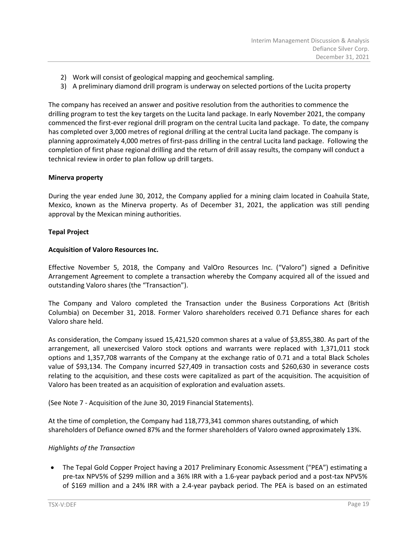- 2) Work will consist of geological mapping and geochemical sampling.
- 3) A preliminary diamond drill program is underway on selected portions of the Lucita property

The company has received an answer and positive resolution from the authorities to commence the drilling program to test the key targets on the Lucita land package. In early November 2021, the company commenced the first-ever regional drill program on the central Lucita land package. To date, the company has completed over 3,000 metres of regional drilling at the central Lucita land package. The company is planning approximately 4,000 metres of first-pass drilling in the central Lucita land package. Following the completion of first phase regional drilling and the return of drill assay results, the company will conduct a technical review in order to plan follow up drill targets.

## **Minerva property**

During the year ended June 30, 2012, the Company applied for a mining claim located in Coahuila State, Mexico, known as the Minerva property. As of December 31, 2021, the application was still pending approval by the Mexican mining authorities.

## **Tepal Project**

## **Acquisition of Valoro Resources Inc.**

Effective November 5, 2018, the Company and ValOro Resources Inc. ("Valoro") signed a Definitive Arrangement Agreement to complete a transaction whereby the Company acquired all of the issued and outstanding Valoro shares (the "Transaction").

The Company and Valoro completed the Transaction under the Business Corporations Act (British Columbia) on December 31, 2018. Former Valoro shareholders received 0.71 Defiance shares for each Valoro share held.

As consideration, the Company issued 15,421,520 common shares at a value of \$3,855,380. As part of the arrangement, all unexercised Valoro stock options and warrants were replaced with 1,371,011 stock options and 1,357,708 warrants of the Company at the exchange ratio of 0.71 and a total Black Scholes value of \$93,134. The Company incurred \$27,409 in transaction costs and \$260,630 in severance costs relating to the acquisition, and these costs were capitalized as part of the acquisition. The acquisition of Valoro has been treated as an acquisition of exploration and evaluation assets.

(See Note 7 - Acquisition of the June 30, 2019 Financial Statements).

At the time of completion, the Company had 118,773,341 common shares outstanding, of which shareholders of Defiance owned 87% and the former shareholders of Valoro owned approximately 13%.

# *Highlights of the Transaction*

• The Tepal Gold Copper Project having a 2017 Preliminary Economic Assessment ("PEA") estimating a pre-tax NPV5% of \$299 million and a 36% IRR with a 1.6-year payback period and a post-tax NPV5% of \$169 million and a 24% IRR with a 2.4-year payback period. The PEA is based on an estimated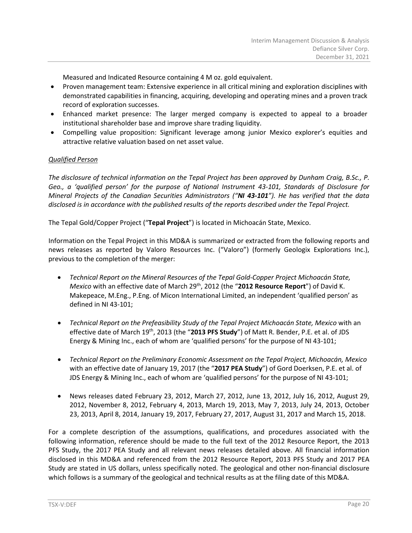Measured and Indicated Resource containing 4 M oz. gold equivalent.

- Proven management team: Extensive experience in all critical mining and exploration disciplines with demonstrated capabilities in financing, acquiring, developing and operating mines and a proven track record of exploration successes.
- Enhanced market presence: The larger merged company is expected to appeal to a broader institutional shareholder base and improve share trading liquidity.
- Compelling value proposition: Significant leverage among junior Mexico explorer's equities and attractive relative valuation based on net asset value.

# *Qualified Person*

*The disclosure of technical information on the Tepal Project has been approved by Dunham Craig, B.Sc., P. Geo., a 'qualified person' for the purpose of National Instrument 43-101, Standards of Disclosure for Mineral Projects of the Canadian Securities Administrators ("NI 43-101"). He has verified that the data disclosed is in accordance with the published results of the reports described under the Tepal Project.*

The Tepal Gold/Copper Project ("**Tepal Project**") is located in Michoacán State, Mexico.

Information on the Tepal Project in this MD&A is summarized or extracted from the following reports and news releases as reported by Valoro Resources Inc. ("Valoro") (formerly Geologix Explorations Inc.), previous to the completion of the merger:

- *Technical Report on the Mineral Resources of the Tepal Gold-Copper Project Michoacán State, Mexico* with an effective date of March 29th, 2012 (the "**2012 Resource Report**") of David K. Makepeace, M.Eng., P.Eng. of Micon International Limited, an independent 'qualified person' as defined in NI 43-101;
- *Technical Report on the Prefeasibility Study of the Tepal Project Michoacán State, Mexico* with an effective date of March 19th, 2013 (the "**2013 PFS Study**") of Matt R. Bender, P.E. et al. of JDS Energy & Mining Inc., each of whom are 'qualified persons' for the purpose of NI 43-101;
- *Technical Report on the Preliminary Economic Assessment on the Tepal Project, Michoacán, Mexico* with an effective date of January 19, 2017 (the "**2017 PEA Study**") of Gord Doerksen, P.E. et al. of JDS Energy & Mining Inc., each of whom are 'qualified persons' for the purpose of NI 43-101;
- News releases dated February 23, 2012, March 27, 2012, June 13, 2012, July 16, 2012, August 29, 2012, November 8, 2012, February 4, 2013, March 19, 2013, May 7, 2013, July 24, 2013, October 23, 2013, April 8, 2014, January 19, 2017, February 27, 2017, August 31, 2017 and March 15, 2018.

For a complete description of the assumptions, qualifications, and procedures associated with the following information, reference should be made to the full text of the 2012 Resource Report, the 2013 PFS Study, the 2017 PEA Study and all relevant news releases detailed above. All financial information disclosed in this MD&A and referenced from the 2012 Resource Report, 2013 PFS Study and 2017 PEA Study are stated in US dollars, unless specifically noted. The geological and other non-financial disclosure which follows is a summary of the geological and technical results as at the filing date of this MD&A.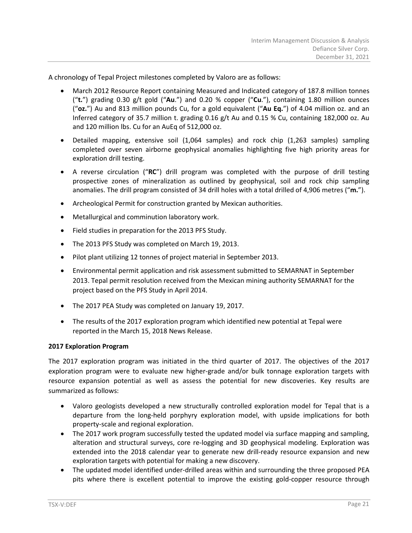A chronology of Tepal Project milestones completed by Valoro are as follows:

- March 2012 Resource Report containing Measured and Indicated category of 187.8 million tonnes ("**t.**") grading 0.30 g/t gold ("**Au**.") and 0.20 % copper ("**Cu**."), containing 1.80 million ounces ("**oz.**") Au and 813 million pounds Cu, for a gold equivalent ("**Au Eq.**") of 4.04 million oz. and an Inferred category of 35.7 million t. grading 0.16 g/t Au and 0.15 % Cu, containing 182,000 oz. Au and 120 million lbs. Cu for an AuEq of 512,000 oz.
- Detailed mapping, extensive soil (1,064 samples) and rock chip (1,263 samples) sampling completed over seven airborne geophysical anomalies highlighting five high priority areas for exploration drill testing.
- A reverse circulation ("**RC**") drill program was completed with the purpose of drill testing prospective zones of mineralization as outlined by geophysical, soil and rock chip sampling anomalies. The drill program consisted of 34 drill holes with a total drilled of 4,906 metres ("**m.**").
- Archeological Permit for construction granted by Mexican authorities.
- Metallurgical and comminution laboratory work.
- Field studies in preparation for the 2013 PFS Study.
- The 2013 PFS Study was completed on March 19, 2013.
- Pilot plant utilizing 12 tonnes of project material in September 2013.
- Environmental permit application and risk assessment submitted to SEMARNAT in September 2013. Tepal permit resolution received from the Mexican mining authority SEMARNAT for the project based on the PFS Study in April 2014.
- The 2017 PEA Study was completed on January 19, 2017.
- The results of the 2017 exploration program which identified new potential at Tepal were reported in the March 15, 2018 News Release.

# **2017 Exploration Program**

The 2017 exploration program was initiated in the third quarter of 2017. The objectives of the 2017 exploration program were to evaluate new higher-grade and/or bulk tonnage exploration targets with resource expansion potential as well as assess the potential for new discoveries. Key results are summarized as follows:

- Valoro geologists developed a new structurally controlled exploration model for Tepal that is a departure from the long-held porphyry exploration model, with upside implications for both property-scale and regional exploration.
- The 2017 work program successfully tested the updated model via surface mapping and sampling, alteration and structural surveys, core re-logging and 3D geophysical modeling. Exploration was extended into the 2018 calendar year to generate new drill-ready resource expansion and new exploration targets with potential for making a new discovery.
- The updated model identified under-drilled areas within and surrounding the three proposed PEA pits where there is excellent potential to improve the existing gold-copper resource through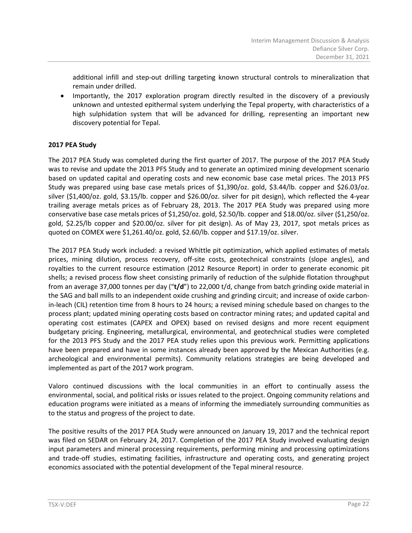additional infill and step-out drilling targeting known structural controls to mineralization that remain under drilled.

• Importantly, the 2017 exploration program directly resulted in the discovery of a previously unknown and untested epithermal system underlying the Tepal property, with characteristics of a high sulphidation system that will be advanced for drilling, representing an important new discovery potential for Tepal.

# **2017 PEA Study**

The 2017 PEA Study was completed during the first quarter of 2017. The purpose of the 2017 PEA Study was to revise and update the 2013 PFS Study and to generate an optimized mining development scenario based on updated capital and operating costs and new economic base case metal prices. The 2013 PFS Study was prepared using base case metals prices of \$1,390/oz. gold, \$3.44/lb. copper and \$26.03/oz. silver (\$1,400/oz. gold, \$3.15/lb. copper and \$26.00/oz. silver for pit design), which reflected the 4-year trailing average metals prices as of February 28, 2013. The 2017 PEA Study was prepared using more conservative base case metals prices of \$1,250/oz. gold, \$2.50/lb. copper and \$18.00/oz. silver (\$1,250/oz. gold, \$2.25/lb copper and \$20.00/oz. silver for pit design). As of May 23, 2017, spot metals prices as quoted on COMEX were \$1,261.40/oz. gold, \$2.60/lb. copper and \$17.19/oz. silver.

The 2017 PEA Study work included: a revised Whittle pit optimization, which applied estimates of metals prices, mining dilution, process recovery, off-site costs, geotechnical constraints (slope angles), and royalties to the current resource estimation (2012 Resource Report) in order to generate economic pit shells; a revised process flow sheet consisting primarily of reduction of the sulphide flotation throughput from an average 37,000 tonnes per day ("**t/d**") to 22,000 t/d, change from batch grinding oxide material in the SAG and ball mills to an independent oxide crushing and grinding circuit; and increase of oxide carbonin-leach (CIL) retention time from 8 hours to 24 hours; a revised mining schedule based on changes to the process plant; updated mining operating costs based on contractor mining rates; and updated capital and operating cost estimates (CAPEX and OPEX) based on revised designs and more recent equipment budgetary pricing. Engineering, metallurgical, environmental, and geotechnical studies were completed for the 2013 PFS Study and the 2017 PEA study relies upon this previous work. Permitting applications have been prepared and have in some instances already been approved by the Mexican Authorities (e.g. archeological and environmental permits). Community relations strategies are being developed and implemented as part of the 2017 work program.

Valoro continued discussions with the local communities in an effort to continually assess the environmental, social, and political risks or issues related to the project. Ongoing community relations and education programs were initiated as a means of informing the immediately surrounding communities as to the status and progress of the project to date.

The positive results of the 2017 PEA Study were announced on January 19, 2017 and the technical report was filed on SEDAR on February 24, 2017. Completion of the 2017 PEA Study involved evaluating design input parameters and mineral processing requirements, performing mining and processing optimizations and trade-off studies, estimating facilities, infrastructure and operating costs, and generating project economics associated with the potential development of the Tepal mineral resource.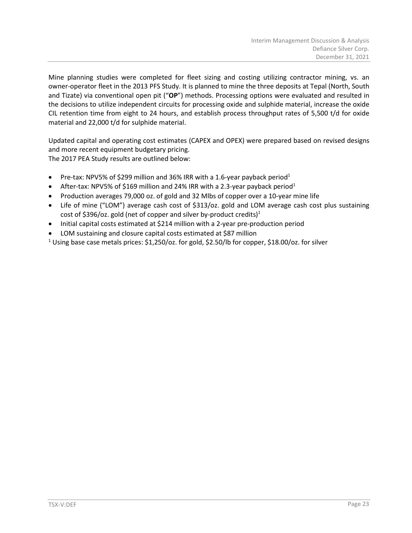Mine planning studies were completed for fleet sizing and costing utilizing contractor mining, vs. an owner-operator fleet in the 2013 PFS Study. It is planned to mine the three deposits at Tepal (North, South and Tizate) via conventional open pit ("**OP**") methods. Processing options were evaluated and resulted in the decisions to utilize independent circuits for processing oxide and sulphide material, increase the oxide CIL retention time from eight to 24 hours, and establish process throughput rates of 5,500 t/d for oxide material and 22,000 t/d for sulphide material.

Updated capital and operating cost estimates (CAPEX and OPEX) were prepared based on revised designs and more recent equipment budgetary pricing. The 2017 PEA Study results are outlined below:

- Pre-tax: NPV5% of \$299 million and 36% IRR with a 1.6-year payback period<sup>1</sup>
- After-tax: NPV5% of \$169 million and 24% IRR with a 2.3-year payback period<sup>1</sup>
- Production averages 79,000 oz. of gold and 32 Mlbs of copper over a 10-year mine life
- Life of mine ("LOM") average cash cost of \$313/oz. gold and LOM average cash cost plus sustaining cost of \$396/oz. gold (net of copper and silver by-product credits)<sup>1</sup>
- Initial capital costs estimated at \$214 million with a 2-year pre-production period
- LOM sustaining and closure capital costs estimated at \$87 million
- <sup>1</sup> Using base case metals prices:  $$1,250/oz$ . for gold,  $$2.50/lb$  for copper,  $$18.00/oz$ . for silver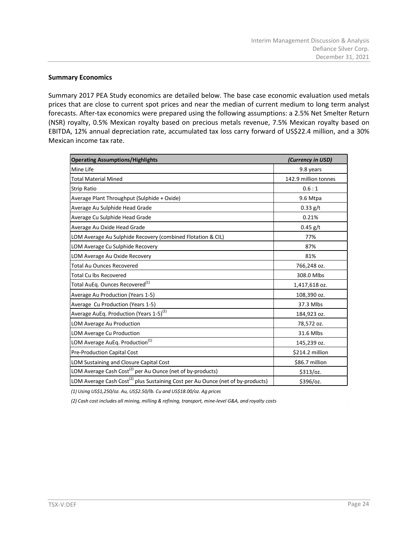# **Summary Economics**

Summary 2017 PEA Study economics are detailed below. The base case economic evaluation used metals prices that are close to current spot prices and near the median of current medium to long term analyst forecasts. After-tax economics were prepared using the following assumptions: a 2.5% Net Smelter Return (NSR) royalty, 0.5% Mexican royalty based on precious metals revenue, 7.5% Mexican royalty based on EBITDA, 12% annual depreciation rate, accumulated tax loss carry forward of US\$22.4 million, and a 30% Mexican income tax rate.

| <b>Operating Assumptions/Highlights</b>                                                     | (Currency in USD)    |
|---------------------------------------------------------------------------------------------|----------------------|
| Mine Life                                                                                   | 9.8 years            |
| <b>Total Material Mined</b>                                                                 | 142.9 million tonnes |
| Strip Ratio                                                                                 | 0.6:1                |
| Average Plant Throughput (Sulphide + Oxide)                                                 | 9.6 Mtpa             |
| Average Au Sulphide Head Grade                                                              | $0.33$ g/t           |
| Average Cu Sulphide Head Grade                                                              | 0.21%                |
| Average Au Oxide Head Grade                                                                 | $0.45$ g/t           |
| LOM Average Au Sulphide Recovery (combined Flotation & CIL)                                 | 77%                  |
| LOM Average Cu Sulphide Recovery                                                            | 87%                  |
| LOM Average Au Oxide Recovery                                                               | 81%                  |
| <b>Total Au Ounces Recovered</b>                                                            | 766,248 oz.          |
| <b>Total Cu lbs Recovered</b>                                                               | 308.0 Mlbs           |
| Total AuEq. Ounces Recovered <sup>(1)</sup>                                                 | 1,417,618 oz.        |
| Average Au Production (Years 1-5)                                                           | 108,390 oz.          |
| Average Cu Production (Years 1-5)                                                           | 37.3 Mlbs            |
| Average AuEq. Production (Years 1-5) <sup>(1)</sup>                                         | 184,923 oz.          |
| LOM Average Au Production                                                                   | 78,572 oz.           |
| LOM Average Cu Production                                                                   | 31.6 Mlbs            |
| LOM Average AuEq. Production <sup>(1)</sup>                                                 | 145,239 oz.          |
| Pre-Production Capital Cost                                                                 | \$214.2 million      |
| LOM Sustaining and Closure Capital Cost                                                     | \$86.7 million       |
| LOM Average Cash Cost <sup>(2)</sup> per Au Ounce (net of by-products)                      | \$313/oz.            |
| LOM Average Cash Cost <sup>(2)</sup> plus Sustaining Cost per Au Ounce (net of by-products) | \$396/oz.            |

*(1) Using US\$1,250/oz. Au, US\$2.50/lb. Cu and US\$18.00/oz. Ag prices*

*(2) Cash cost includes all mining, milling & refining, transport, mine-level G&A, and royalty costs*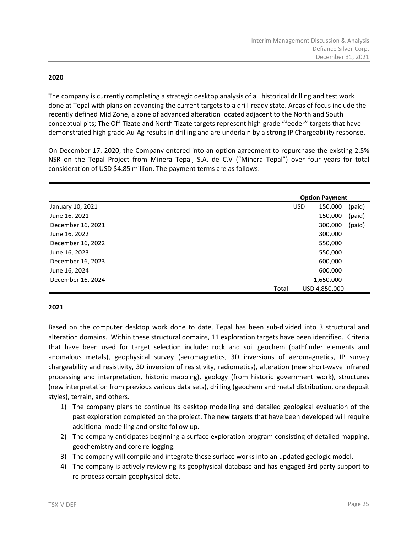# **2020**

The company is currently completing a strategic desktop analysis of all historical drilling and test work done at Tepal with plans on advancing the current targets to a drill-ready state. Areas of focus include the recently defined Mid Zone, a zone of advanced alteration located adjacent to the North and South conceptual pits; The Off-Tizate and North Tizate targets represent high-grade "feeder" targets that have demonstrated high grade Au-Ag results in drilling and are underlain by a strong IP Chargeability response.

On December 17, 2020, the Company entered into an option agreement to repurchase the existing 2.5% NSR on the Tepal Project from Minera Tepal, S.A. de C.V ("Minera Tepal") over four years for total consideration of USD \$4.85 million. The payment terms are as follows:

|                                | <b>Option Payment</b> |               |                   |  |  |
|--------------------------------|-----------------------|---------------|-------------------|--|--|
| <b>USD</b><br>January 10, 2021 |                       |               | 150,000<br>(paid) |  |  |
| June 16, 2021                  |                       | 150,000       | (paid)            |  |  |
| December 16, 2021              |                       | 300,000       | (paid)            |  |  |
| June 16, 2022                  |                       | 300,000       |                   |  |  |
| December 16, 2022              |                       | 550,000       |                   |  |  |
| June 16, 2023                  |                       | 550,000       |                   |  |  |
| December 16, 2023              |                       | 600,000       |                   |  |  |
| June 16, 2024                  |                       | 600,000       |                   |  |  |
| December 16, 2024              |                       | 1,650,000     |                   |  |  |
|                                | Total                 | USD 4,850,000 |                   |  |  |

### **2021**

Based on the computer desktop work done to date, Tepal has been sub-divided into 3 structural and alteration domains. Within these structural domains, 11 exploration targets have been identified. Criteria that have been used for target selection include: rock and soil geochem (pathfinder elements and anomalous metals), geophysical survey (aeromagnetics, 3D inversions of aeromagnetics, IP survey chargeability and resistivity, 3D inversion of resistivity, radiometics), alteration (new short-wave infrared processing and interpretation, historic mapping), geology (from historic government work), structures (new interpretation from previous various data sets), drilling (geochem and metal distribution, ore deposit styles), terrain, and others.

- 1) The company plans to continue its desktop modelling and detailed geological evaluation of the past exploration completed on the project. The new targets that have been developed will require additional modelling and onsite follow up.
- 2) The company anticipates beginning a surface exploration program consisting of detailed mapping, geochemistry and core re-logging.
- 3) The company will compile and integrate these surface works into an updated geologic model.
- 4) The company is actively reviewing its geophysical database and has engaged 3rd party support to re-process certain geophysical data.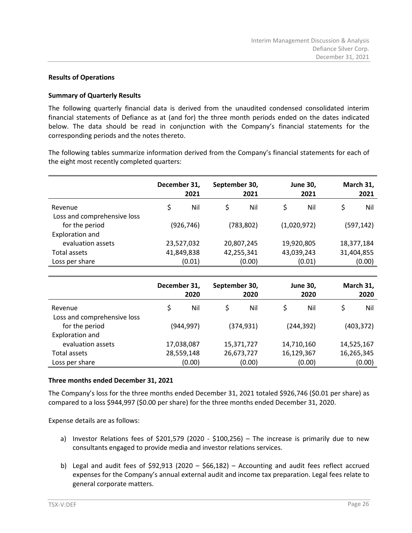# **Results of Operations**

## **Summary of Quarterly Results**

The following quarterly financial data is derived from the unaudited condensed consolidated interim financial statements of Defiance as at (and for) the three month periods ended on the dates indicated below. The data should be read in conjunction with the Company's financial statements for the corresponding periods and the notes thereto.

The following tables summarize information derived from the Company's financial statements for each of the eight most recently completed quarters:

|                                        | December 31, | 2021       | September 30, | 2021       | <b>June 30,</b><br>2021 | March 31,<br>2021 |
|----------------------------------------|--------------|------------|---------------|------------|-------------------------|-------------------|
| Revenue<br>Loss and comprehensive loss | \$           | Nil        | \$            | Nil        | \$<br>Nil               | \$<br>Nil         |
| for the period<br>Exploration and      |              | (926, 746) |               | (783, 802) | (1,020,972)             | (597, 142)        |
| evaluation assets                      |              | 23,527,032 |               | 20,807,245 | 19,920,805              | 18,377,184        |
| Total assets                           |              | 41,849,838 |               | 42,255,341 | 43,039,243              | 31,404,855        |
| Loss per share                         |              | (0.01)     |               | (0.00)     | (0.01)                  | (0.00)            |

|                             | December 31, | 2020       | September 30, | 2020       |   | <b>June 30,</b><br>2020 | March 31,<br>2020 |
|-----------------------------|--------------|------------|---------------|------------|---|-------------------------|-------------------|
| Revenue                     | \$           | Nil        | Ś             | Nil        | Ś | Nil                     | Nil               |
| Loss and comprehensive loss |              |            |               |            |   |                         |                   |
| for the period              |              | (944,997)  |               | (374, 931) |   | (244, 392)              | (403, 372)        |
| Exploration and             |              |            |               |            |   |                         |                   |
| evaluation assets           |              | 17,038,087 |               | 15,371,727 |   | 14,710,160              | 14,525,167        |
| Total assets                | 28,559,148   |            |               | 26,673,727 |   | 16,129,367              | 16,265,345        |
| Loss per share              |              | (0.00)     |               | (0.00)     |   | (0.00)                  | (0.00)            |

#### **Three months ended December 31, 2021**

The Company's loss for the three months ended December 31, 2021 totaled \$926,746 (\$0.01 per share) as compared to a loss \$944,997 (\$0.00 per share) for the three months ended December 31, 2020.

Expense details are as follows:

- a) Investor Relations fees of \$201,579 (2020 \$100,256) The increase is primarily due to new consultants engaged to provide media and investor relations services.
- b) Legal and audit fees of \$92,913 (2020  $-$  \$66,182)  $-$  Accounting and audit fees reflect accrued expenses for the Company's annual external audit and income tax preparation. Legal fees relate to general corporate matters.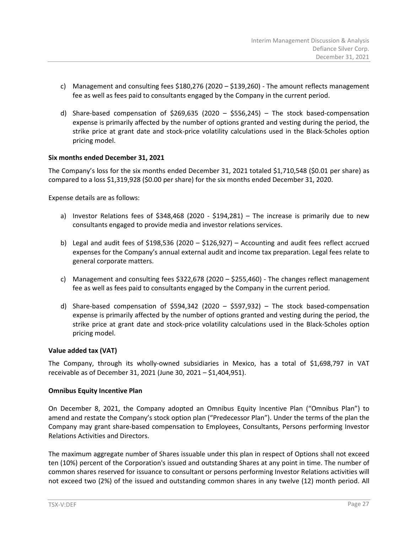- c) Management and consulting fees  $$180,276$  (2020  $$139,260$ ) The amount reflects management fee as well as fees paid to consultants engaged by the Company in the current period.
- d) Share-based compensation of \$269,635 (2020 \$556,245) The stock based-compensation expense is primarily affected by the number of options granted and vesting during the period, the strike price at grant date and stock-price volatility calculations used in the Black-Scholes option pricing model.

# **Six months ended December 31, 2021**

The Company's loss for the six months ended December 31, 2021 totaled \$1,710,548 (\$0.01 per share) as compared to a loss \$1,319,928 (\$0.00 per share) for the six months ended December 31, 2020.

Expense details are as follows:

- a) Investor Relations fees of  $$348,468$  (2020  $$194,281)$  The increase is primarily due to new consultants engaged to provide media and investor relations services.
- b) Legal and audit fees of \$198,536 (2020 \$126,927) Accounting and audit fees reflect accrued expenses for the Company's annual external audit and income tax preparation. Legal fees relate to general corporate matters.
- c) Management and consulting fees  $$322,678$  (2020  $$255,460$ ) The changes reflect management fee as well as fees paid to consultants engaged by the Company in the current period.
- d) Share-based compensation of  $$594,342$  (2020  $$597,932$ ) The stock based-compensation expense is primarily affected by the number of options granted and vesting during the period, the strike price at grant date and stock-price volatility calculations used in the Black-Scholes option pricing model.

# **Value added tax (VAT)**

The Company, through its wholly-owned subsidiaries in Mexico, has a total of \$1,698,797 in VAT receivable as of December 31, 2021 (June 30, 2021 – \$1,404,951).

# **Omnibus Equity Incentive Plan**

On December 8, 2021, the Company adopted an Omnibus Equity Incentive Plan ("Omnibus Plan") to amend and restate the Company's stock option plan ("Predecessor Plan"). Under the terms of the plan the Company may grant share-based compensation to Employees, Consultants, Persons performing Investor Relations Activities and Directors.

The maximum aggregate number of Shares issuable under this plan in respect of Options shall not exceed ten (10%) percent of the Corporation's issued and outstanding Shares at any point in time. The number of common shares reserved for issuance to consultant or persons performing Investor Relations activities will not exceed two (2%) of the issued and outstanding common shares in any twelve (12) month period. All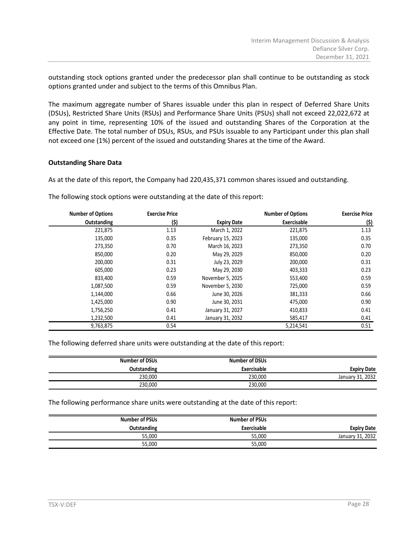outstanding stock options granted under the predecessor plan shall continue to be outstanding as stock options granted under and subject to the terms of this Omnibus Plan.

The maximum aggregate number of Shares issuable under this plan in respect of Deferred Share Units (DSUs), Restricted Share Units (RSUs) and Performance Share Units (PSUs) shall not exceed 22,022,672 at any point in time, representing 10% of the issued and outstanding Shares of the Corporation at the Effective Date. The total number of DSUs, RSUs, and PSUs issuable to any Participant under this plan shall not exceed one (1%) percent of the issued and outstanding Shares at the time of the Award.

## **Outstanding Share Data**

As at the date of this report, the Company had 220,435,371 common shares issued and outstanding.

| <b>Number of Options</b> | <b>Exercise Price</b> |                    | <b>Number of Options</b> | <b>Exercise Price</b> |
|--------------------------|-----------------------|--------------------|--------------------------|-----------------------|
| <b>Outstanding</b>       | (\$)                  | <b>Expiry Date</b> | Exercisable              | (5)                   |
| 221,875                  | 1.13                  | March 1, 2022      | 221,875                  | 1.13                  |
| 135,000                  | 0.35                  | February 15, 2023  | 135,000                  | 0.35                  |
| 273,350                  | 0.70                  | March 16, 2023     | 273,350                  | 0.70                  |
| 850,000                  | 0.20                  | May 29, 2029       | 850,000                  | 0.20                  |
| 200,000                  | 0.31                  | July 23, 2029      | 200,000                  | 0.31                  |
| 605,000                  | 0.23                  | May 29, 2030       | 403,333                  | 0.23                  |
| 833,400                  | 0.59                  | November 5, 2025   | 553,400                  | 0.59                  |
| 1,087,500                | 0.59                  | November 5, 2030   | 725,000                  | 0.59                  |
| 1,144,000                | 0.66                  | June 30, 2026      | 381,333                  | 0.66                  |
| 1,425,000                | 0.90                  | June 30, 2031      | 475,000                  | 0.90                  |
| 1,756,250                | 0.41                  | January 31, 2027   | 410,833                  | 0.41                  |
| 1,232,500                | 0.41                  | January 31, 2032   | 585,417                  | 0.41                  |
| 9,763,875                | 0.54                  |                    | 5,214,541                | 0.51                  |

The following stock options were outstanding at the date of this report:

The following deferred share units were outstanding at the date of this report:

|                    | Number of DSUs | <b>Number of DSUs</b> |
|--------------------|----------------|-----------------------|
| <b>Expiry Date</b> | Exercisable    | <b>Outstanding</b>    |
| January 31, 2032   | 230.000        | 230.000               |
|                    | 230,000        | 230,000               |

The following performance share units were outstanding at the date of this report:

|                    | Number of PSUs     | Number of PSUs     |
|--------------------|--------------------|--------------------|
| <b>Expiry Date</b> | <b>Exercisable</b> | <b>Outstanding</b> |
| January 31, 2032   | 55.000             | 55,000             |
|                    | 55,000             | 55,000             |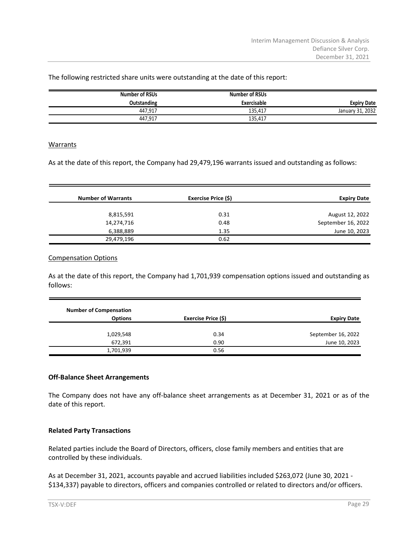The following restricted share units were outstanding at the date of this report:

|                      | <b>Number of RSUs</b> | <b>Number of RSUs</b> |
|----------------------|-----------------------|-----------------------|
| <b>Expiry Date</b>   | Exercisable           | Outstanding           |
| .2032<br>January 31, | 135.417               | 447.917               |
|                      | 135,417               | 447,917               |

#### Warrants

As at the date of this report, the Company had 29,479,196 warrants issued and outstanding as follows:

| <b>Number of Warrants</b> | Exercise Price (\$) | <b>Expiry Date</b> |
|---------------------------|---------------------|--------------------|
|                           |                     |                    |
| 8,815,591                 | 0.31                | August 12, 2022    |
| 14,274,716                | 0.48                | September 16, 2022 |
| 6,388,889                 | 1.35                | June 10, 2023      |
| 29,479,196                | 0.62                |                    |

## Compensation Options

As at the date of this report, the Company had 1,701,939 compensation options issued and outstanding as follows:

|                    |                     | <b>Number of Compensation</b> |
|--------------------|---------------------|-------------------------------|
| <b>Expiry Date</b> | Exercise Price (\$) | <b>Options</b>                |
| September 16, 2022 | 0.34                | 1,029,548                     |
| June 10, 2023      | 0.90                | 672,391                       |
|                    | 0.56                | 1,701,939                     |

#### **Off-Balance Sheet Arrangements**

The Company does not have any off-balance sheet arrangements as at December 31, 2021 or as of the date of this report.

# **Related Party Transactions**

Related parties include the Board of Directors, officers, close family members and entities that are controlled by these individuals.

As at December 31, 2021, accounts payable and accrued liabilities included \$263,072 (June 30, 2021 - \$134,337) payable to directors, officers and companies controlled or related to directors and/or officers.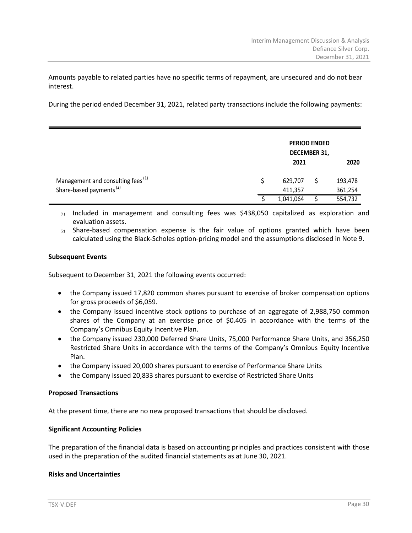Amounts payable to related parties have no specific terms of repayment, are unsecured and do not bear interest.

During the period ended December 31, 2021, related party transactions include the following payments:

|                                                                                      | <b>PERIOD ENDED</b><br>DECEMBER 31,<br>2021<br>2020 |                                 |  |                               |
|--------------------------------------------------------------------------------------|-----------------------------------------------------|---------------------------------|--|-------------------------------|
| Management and consulting fees <sup>(1)</sup><br>Share-based payments <sup>(2)</sup> |                                                     | 629,707<br>411,357<br>1,041,064 |  | 193,478<br>361,254<br>554,732 |

 $(1)$  Included in management and consulting fees was \$438,050 capitalized as exploration and evaluation assets.

 $(2)$  Share-based compensation expense is the fair value of options granted which have been calculated using the Black-Scholes option-pricing model and the assumptions disclosed in Note 9.

## **Subsequent Events**

Subsequent to December 31, 2021 the following events occurred:

- the Company issued 17,820 common shares pursuant to exercise of broker compensation options for gross proceeds of \$6,059.
- the Company issued incentive stock options to purchase of an aggregate of 2,988,750 common shares of the Company at an exercise price of \$0.405 in accordance with the terms of the Company's Omnibus Equity Incentive Plan.
- the Company issued 230,000 Deferred Share Units, 75,000 Performance Share Units, and 356,250 Restricted Share Units in accordance with the terms of the Company's Omnibus Equity Incentive Plan.
- the Company issued 20,000 shares pursuant to exercise of Performance Share Units
- the Company issued 20,833 shares pursuant to exercise of Restricted Share Units

#### **Proposed Transactions**

At the present time, there are no new proposed transactions that should be disclosed.

#### **Significant Accounting Policies**

The preparation of the financial data is based on accounting principles and practices consistent with those used in the preparation of the audited financial statements as at June 30, 2021.

### **Risks and Uncertainties**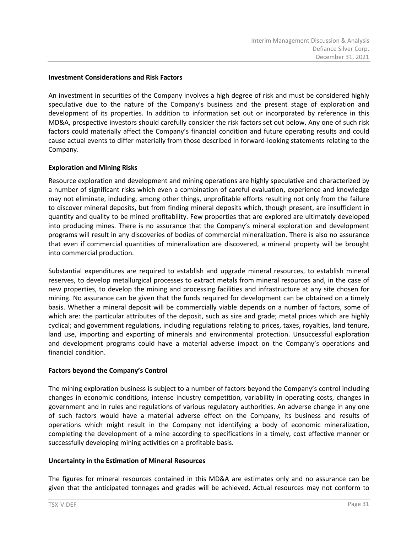# **Investment Considerations and Risk Factors**

An investment in securities of the Company involves a high degree of risk and must be considered highly speculative due to the nature of the Company's business and the present stage of exploration and development of its properties. In addition to information set out or incorporated by reference in this MD&A, prospective investors should carefully consider the risk factors set out below. Any one of such risk factors could materially affect the Company's financial condition and future operating results and could cause actual events to differ materially from those described in forward-looking statements relating to the Company.

## **Exploration and Mining Risks**

Resource exploration and development and mining operations are highly speculative and characterized by a number of significant risks which even a combination of careful evaluation, experience and knowledge may not eliminate, including, among other things, unprofitable efforts resulting not only from the failure to discover mineral deposits, but from finding mineral deposits which, though present, are insufficient in quantity and quality to be mined profitability. Few properties that are explored are ultimately developed into producing mines. There is no assurance that the Company's mineral exploration and development programs will result in any discoveries of bodies of commercial mineralization. There is also no assurance that even if commercial quantities of mineralization are discovered, a mineral property will be brought into commercial production.

Substantial expenditures are required to establish and upgrade mineral resources, to establish mineral reserves, to develop metallurgical processes to extract metals from mineral resources and, in the case of new properties, to develop the mining and processing facilities and infrastructure at any site chosen for mining. No assurance can be given that the funds required for development can be obtained on a timely basis. Whether a mineral deposit will be commercially viable depends on a number of factors, some of which are: the particular attributes of the deposit, such as size and grade; metal prices which are highly cyclical; and government regulations, including regulations relating to prices, taxes, royalties, land tenure, land use, importing and exporting of minerals and environmental protection. Unsuccessful exploration and development programs could have a material adverse impact on the Company's operations and financial condition.

#### **Factors beyond the Company's Control**

The mining exploration business is subject to a number of factors beyond the Company's control including changes in economic conditions, intense industry competition, variability in operating costs, changes in government and in rules and regulations of various regulatory authorities. An adverse change in any one of such factors would have a material adverse effect on the Company, its business and results of operations which might result in the Company not identifying a body of economic mineralization, completing the development of a mine according to specifications in a timely, cost effective manner or successfully developing mining activities on a profitable basis.

#### **Uncertainty in the Estimation of Mineral Resources**

The figures for mineral resources contained in this MD&A are estimates only and no assurance can be given that the anticipated tonnages and grades will be achieved. Actual resources may not conform to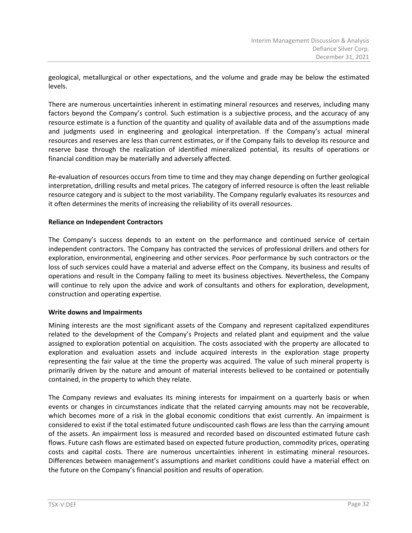geological, metallurgical or other expectations, and the volume and grade may be below the estimated levels.

There are numerous uncertainties inherent in estimating mineral resources and reserves, including many factors beyond the Company's control. Such estimation is a subjective process, and the accuracy of any resource estimate is a function of the quantity and quality of available data and of the assumptions made and judgments used in engineering and geological interpretation. If the Company's actual mineral resources and reserves are less than current estimates, or if the Company fails to develop its resource and reserve base through the realization of identified mineralized potential, its results of operations or financial condition may be materially and adversely affected.

Re-evaluation of resources occurs from time to time and they may change depending on further geological interpretation, drilling results and metal prices. The category of inferred resource is often the least reliable resource category and is subject to the most variability. The Company regularly evaluates its resources and it often determines the merits of increasing the reliability of its overall resources.

# **Reliance on Independent Contractors**

The Company's success depends to an extent on the performance and continued service of certain independent contractors. The Company has contracted the services of professional drillers and others for exploration, environmental, engineering and other services. Poor performance by such contractors or the loss of such services could have a material and adverse effect on the Company, its business and results of operations and result in the Company failing to meet its business objectives. Nevertheless, the Company will continue to rely upon the advice and work of consultants and others for exploration, development, construction and operating expertise.

# **Write downs and Impairments**

Mining interests are the most significant assets of the Company and represent capitalized expenditures related to the development of the Company's Projects and related plant and equipment and the value assigned to exploration potential on acquisition. The costs associated with the property are allocated to exploration and evaluation assets and include acquired interests in the exploration stage property representing the fair value at the time the property was acquired. The value of such mineral property is primarily driven by the nature and amount of material interests believed to be contained or potentially contained, in the property to which they relate.

The Company reviews and evaluates its mining interests for impairment on a quarterly basis or when events or changes in circumstances indicate that the related carrying amounts may not be recoverable, which becomes more of a risk in the global economic conditions that exist currently. An impairment is considered to exist if the total estimated future undiscounted cash flows are less than the carrying amount of the assets. An impairment loss is measured and recorded based on discounted estimated future cash flows. Future cash flows are estimated based on expected future production, commodity prices, operating costs and capital costs. There are numerous uncertainties inherent in estimating mineral resources. Differences between management's assumptions and market conditions could have a material effect on the future on the Company's financial position and results of operation.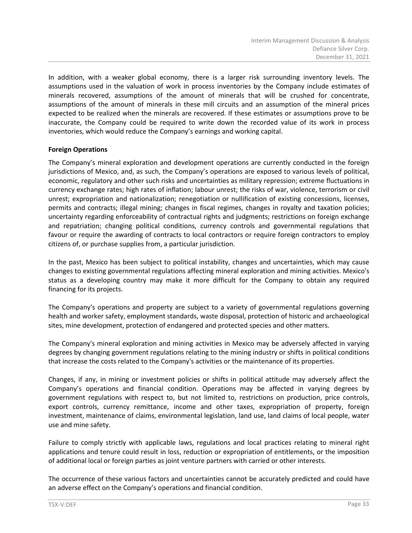In addition, with a weaker global economy, there is a larger risk surrounding inventory levels. The assumptions used in the valuation of work in process inventories by the Company include estimates of minerals recovered, assumptions of the amount of minerals that will be crushed for concentrate, assumptions of the amount of minerals in these mill circuits and an assumption of the mineral prices expected to be realized when the minerals are recovered. If these estimates or assumptions prove to be inaccurate, the Company could be required to write down the recorded value of its work in process inventories, which would reduce the Company's earnings and working capital.

# **Foreign Operations**

The Company's mineral exploration and development operations are currently conducted in the foreign jurisdictions of Mexico, and, as such, the Company's operations are exposed to various levels of political, economic, regulatory and other such risks and uncertainties as military repression; extreme fluctuations in currency exchange rates; high rates of inflation; labour unrest; the risks of war, violence, terrorism or civil unrest; expropriation and nationalization; renegotiation or nullification of existing concessions, licenses, permits and contracts; illegal mining; changes in fiscal regimes, changes in royalty and taxation policies; uncertainty regarding enforceability of contractual rights and judgments; restrictions on foreign exchange and repatriation; changing political conditions, currency controls and governmental regulations that favour or require the awarding of contracts to local contractors or require foreign contractors to employ citizens of, or purchase supplies from, a particular jurisdiction.

In the past, Mexico has been subject to political instability, changes and uncertainties, which may cause changes to existing governmental regulations affecting mineral exploration and mining activities. Mexico's status as a developing country may make it more difficult for the Company to obtain any required financing for its projects.

The Company's operations and property are subject to a variety of governmental regulations governing health and worker safety, employment standards, waste disposal, protection of historic and archaeological sites, mine development, protection of endangered and protected species and other matters.

The Company's mineral exploration and mining activities in Mexico may be adversely affected in varying degrees by changing government regulations relating to the mining industry or shifts in political conditions that increase the costs related to the Company's activities or the maintenance of its properties.

Changes, if any, in mining or investment policies or shifts in political attitude may adversely affect the Company's operations and financial condition. Operations may be affected in varying degrees by government regulations with respect to, but not limited to, restrictions on production, price controls, export controls, currency remittance, income and other taxes, expropriation of property, foreign investment, maintenance of claims, environmental legislation, land use, land claims of local people, water use and mine safety.

Failure to comply strictly with applicable laws, regulations and local practices relating to mineral right applications and tenure could result in loss, reduction or expropriation of entitlements, or the imposition of additional local or foreign parties as joint venture partners with carried or other interests.

The occurrence of these various factors and uncertainties cannot be accurately predicted and could have an adverse effect on the Company's operations and financial condition.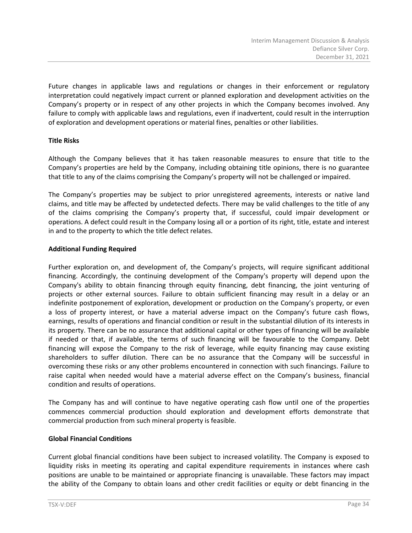Future changes in applicable laws and regulations or changes in their enforcement or regulatory interpretation could negatively impact current or planned exploration and development activities on the Company's property or in respect of any other projects in which the Company becomes involved. Any failure to comply with applicable laws and regulations, even if inadvertent, could result in the interruption of exploration and development operations or material fines, penalties or other liabilities.

# **Title Risks**

Although the Company believes that it has taken reasonable measures to ensure that title to the Company's properties are held by the Company, including obtaining title opinions, there is no guarantee that title to any of the claims comprising the Company's property will not be challenged or impaired.

The Company's properties may be subject to prior unregistered agreements, interests or native land claims, and title may be affected by undetected defects. There may be valid challenges to the title of any of the claims comprising the Company's property that, if successful, could impair development or operations. A defect could result in the Company losing all or a portion of its right, title, estate and interest in and to the property to which the title defect relates.

# **Additional Funding Required**

Further exploration on, and development of, the Company's projects, will require significant additional financing. Accordingly, the continuing development of the Company's property will depend upon the Company's ability to obtain financing through equity financing, debt financing, the joint venturing of projects or other external sources. Failure to obtain sufficient financing may result in a delay or an indefinite postponement of exploration, development or production on the Company's property, or even a loss of property interest, or have a material adverse impact on the Company's future cash flows, earnings, results of operations and financial condition or result in the substantial dilution of its interests in its property. There can be no assurance that additional capital or other types of financing will be available if needed or that, if available, the terms of such financing will be favourable to the Company. Debt financing will expose the Company to the risk of leverage, while equity financing may cause existing shareholders to suffer dilution. There can be no assurance that the Company will be successful in overcoming these risks or any other problems encountered in connection with such financings. Failure to raise capital when needed would have a material adverse effect on the Company's business, financial condition and results of operations.

The Company has and will continue to have negative operating cash flow until one of the properties commences commercial production should exploration and development efforts demonstrate that commercial production from such mineral property is feasible.

# **Global Financial Conditions**

Current global financial conditions have been subject to increased volatility. The Company is exposed to liquidity risks in meeting its operating and capital expenditure requirements in instances where cash positions are unable to be maintained or appropriate financing is unavailable. These factors may impact the ability of the Company to obtain loans and other credit facilities or equity or debt financing in the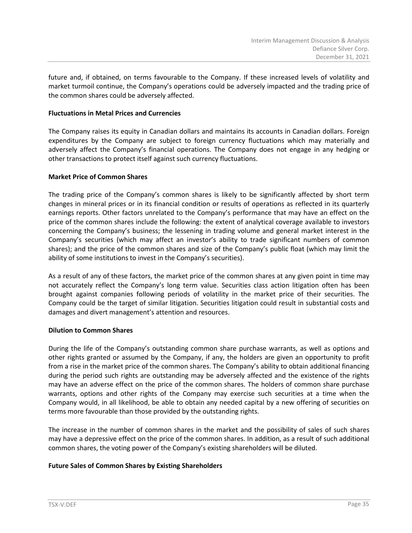future and, if obtained, on terms favourable to the Company. If these increased levels of volatility and market turmoil continue, the Company's operations could be adversely impacted and the trading price of the common shares could be adversely affected.

## **Fluctuations in Metal Prices and Currencies**

The Company raises its equity in Canadian dollars and maintains its accounts in Canadian dollars. Foreign expenditures by the Company are subject to foreign currency fluctuations which may materially and adversely affect the Company's financial operations. The Company does not engage in any hedging or other transactions to protect itself against such currency fluctuations.

## **Market Price of Common Shares**

The trading price of the Company's common shares is likely to be significantly affected by short term changes in mineral prices or in its financial condition or results of operations as reflected in its quarterly earnings reports. Other factors unrelated to the Company's performance that may have an effect on the price of the common shares include the following: the extent of analytical coverage available to investors concerning the Company's business; the lessening in trading volume and general market interest in the Company's securities (which may affect an investor's ability to trade significant numbers of common shares); and the price of the common shares and size of the Company's public float (which may limit the ability of some institutions to invest in the Company's securities).

As a result of any of these factors, the market price of the common shares at any given point in time may not accurately reflect the Company's long term value. Securities class action litigation often has been brought against companies following periods of volatility in the market price of their securities. The Company could be the target of similar litigation. Securities litigation could result in substantial costs and damages and divert management's attention and resources.

# **Dilution to Common Shares**

During the life of the Company's outstanding common share purchase warrants, as well as options and other rights granted or assumed by the Company, if any, the holders are given an opportunity to profit from a rise in the market price of the common shares. The Company's ability to obtain additional financing during the period such rights are outstanding may be adversely affected and the existence of the rights may have an adverse effect on the price of the common shares. The holders of common share purchase warrants, options and other rights of the Company may exercise such securities at a time when the Company would, in all likelihood, be able to obtain any needed capital by a new offering of securities on terms more favourable than those provided by the outstanding rights.

The increase in the number of common shares in the market and the possibility of sales of such shares may have a depressive effect on the price of the common shares. In addition, as a result of such additional common shares, the voting power of the Company's existing shareholders will be diluted.

# **Future Sales of Common Shares by Existing Shareholders**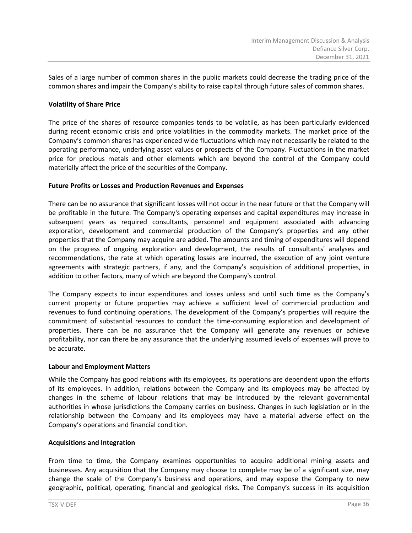Sales of a large number of common shares in the public markets could decrease the trading price of the common shares and impair the Company's ability to raise capital through future sales of common shares.

# **Volatility of Share Price**

The price of the shares of resource companies tends to be volatile, as has been particularly evidenced during recent economic crisis and price volatilities in the commodity markets. The market price of the Company's common shares has experienced wide fluctuations which may not necessarily be related to the operating performance, underlying asset values or prospects of the Company. Fluctuations in the market price for precious metals and other elements which are beyond the control of the Company could materially affect the price of the securities of the Company.

## **Future Profits or Losses and Production Revenues and Expenses**

There can be no assurance that significant losses will not occur in the near future or that the Company will be profitable in the future. The Company's operating expenses and capital expenditures may increase in subsequent years as required consultants, personnel and equipment associated with advancing exploration, development and commercial production of the Company's properties and any other properties that the Company may acquire are added. The amounts and timing of expenditures will depend on the progress of ongoing exploration and development, the results of consultants' analyses and recommendations, the rate at which operating losses are incurred, the execution of any joint venture agreements with strategic partners, if any, and the Company's acquisition of additional properties, in addition to other factors, many of which are beyond the Company's control.

The Company expects to incur expenditures and losses unless and until such time as the Company's current property or future properties may achieve a sufficient level of commercial production and revenues to fund continuing operations. The development of the Company's properties will require the commitment of substantial resources to conduct the time-consuming exploration and development of properties. There can be no assurance that the Company will generate any revenues or achieve profitability, nor can there be any assurance that the underlying assumed levels of expenses will prove to be accurate.

#### **Labour and Employment Matters**

While the Company has good relations with its employees, its operations are dependent upon the efforts of its employees. In addition, relations between the Company and its employees may be affected by changes in the scheme of labour relations that may be introduced by the relevant governmental authorities in whose jurisdictions the Company carries on business. Changes in such legislation or in the relationship between the Company and its employees may have a material adverse effect on the Company's operations and financial condition.

# **Acquisitions and Integration**

From time to time, the Company examines opportunities to acquire additional mining assets and businesses. Any acquisition that the Company may choose to complete may be of a significant size, may change the scale of the Company's business and operations, and may expose the Company to new geographic, political, operating, financial and geological risks. The Company's success in its acquisition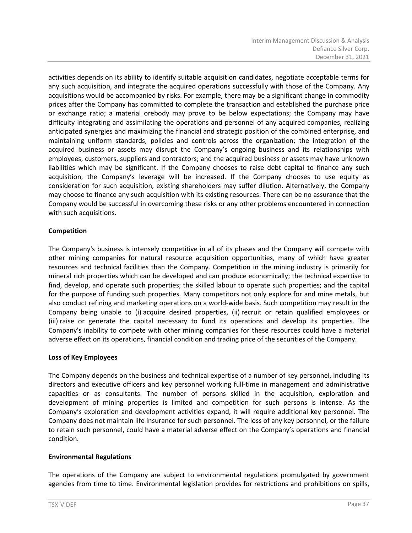activities depends on its ability to identify suitable acquisition candidates, negotiate acceptable terms for any such acquisition, and integrate the acquired operations successfully with those of the Company. Any acquisitions would be accompanied by risks. For example, there may be a significant change in commodity prices after the Company has committed to complete the transaction and established the purchase price or exchange ratio; a material orebody may prove to be below expectations; the Company may have difficulty integrating and assimilating the operations and personnel of any acquired companies, realizing anticipated synergies and maximizing the financial and strategic position of the combined enterprise, and maintaining uniform standards, policies and controls across the organization; the integration of the acquired business or assets may disrupt the Company's ongoing business and its relationships with employees, customers, suppliers and contractors; and the acquired business or assets may have unknown liabilities which may be significant. If the Company chooses to raise debt capital to finance any such acquisition, the Company's leverage will be increased. If the Company chooses to use equity as consideration for such acquisition, existing shareholders may suffer dilution. Alternatively, the Company may choose to finance any such acquisition with its existing resources. There can be no assurance that the Company would be successful in overcoming these risks or any other problems encountered in connection with such acquisitions.

# **Competition**

The Company's business is intensely competitive in all of its phases and the Company will compete with other mining companies for natural resource acquisition opportunities, many of which have greater resources and technical facilities than the Company. Competition in the mining industry is primarily for mineral rich properties which can be developed and can produce economically; the technical expertise to find, develop, and operate such properties; the skilled labour to operate such properties; and the capital for the purpose of funding such properties. Many competitors not only explore for and mine metals, but also conduct refining and marketing operations on a world-wide basis. Such competition may result in the Company being unable to (i) acquire desired properties, (ii) recruit or retain qualified employees or (iii) raise or generate the capital necessary to fund its operations and develop its properties. The Company's inability to compete with other mining companies for these resources could have a material adverse effect on its operations, financial condition and trading price of the securities of the Company.

# **Loss of Key Employees**

The Company depends on the business and technical expertise of a number of key personnel, including its directors and executive officers and key personnel working full-time in management and administrative capacities or as consultants. The number of persons skilled in the acquisition, exploration and development of mining properties is limited and competition for such persons is intense. As the Company's exploration and development activities expand, it will require additional key personnel. The Company does not maintain life insurance for such personnel. The loss of any key personnel, or the failure to retain such personnel, could have a material adverse effect on the Company's operations and financial condition.

# **Environmental Regulations**

The operations of the Company are subject to environmental regulations promulgated by government agencies from time to time. Environmental legislation provides for restrictions and prohibitions on spills,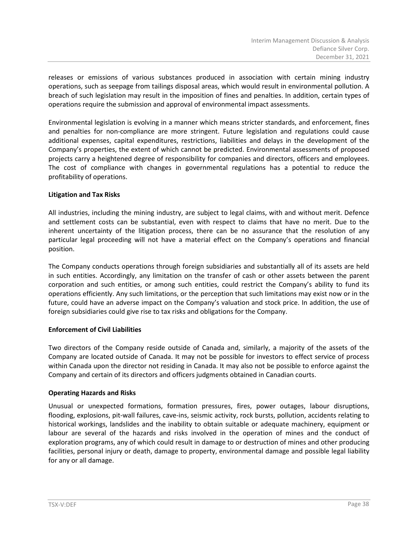releases or emissions of various substances produced in association with certain mining industry operations, such as seepage from tailings disposal areas, which would result in environmental pollution. A breach of such legislation may result in the imposition of fines and penalties. In addition, certain types of operations require the submission and approval of environmental impact assessments.

Environmental legislation is evolving in a manner which means stricter standards, and enforcement, fines and penalties for non-compliance are more stringent. Future legislation and regulations could cause additional expenses, capital expenditures, restrictions, liabilities and delays in the development of the Company's properties, the extent of which cannot be predicted. Environmental assessments of proposed projects carry a heightened degree of responsibility for companies and directors, officers and employees. The cost of compliance with changes in governmental regulations has a potential to reduce the profitability of operations.

# **Litigation and Tax Risks**

All industries, including the mining industry, are subject to legal claims, with and without merit. Defence and settlement costs can be substantial, even with respect to claims that have no merit. Due to the inherent uncertainty of the litigation process, there can be no assurance that the resolution of any particular legal proceeding will not have a material effect on the Company's operations and financial position.

The Company conducts operations through foreign subsidiaries and substantially all of its assets are held in such entities. Accordingly, any limitation on the transfer of cash or other assets between the parent corporation and such entities, or among such entities, could restrict the Company's ability to fund its operations efficiently. Any such limitations, or the perception that such limitations may exist now or in the future, could have an adverse impact on the Company's valuation and stock price. In addition, the use of foreign subsidiaries could give rise to tax risks and obligations for the Company.

# **Enforcement of Civil Liabilities**

Two directors of the Company reside outside of Canada and, similarly, a majority of the assets of the Company are located outside of Canada. It may not be possible for investors to effect service of process within Canada upon the director not residing in Canada. It may also not be possible to enforce against the Company and certain of its directors and officers judgments obtained in Canadian courts.

# **Operating Hazards and Risks**

Unusual or unexpected formations, formation pressures, fires, power outages, labour disruptions, flooding, explosions, pit-wall failures, cave-ins, seismic activity, rock bursts, pollution, accidents relating to historical workings, landslides and the inability to obtain suitable or adequate machinery, equipment or labour are several of the hazards and risks involved in the operation of mines and the conduct of exploration programs, any of which could result in damage to or destruction of mines and other producing facilities, personal injury or death, damage to property, environmental damage and possible legal liability for any or all damage.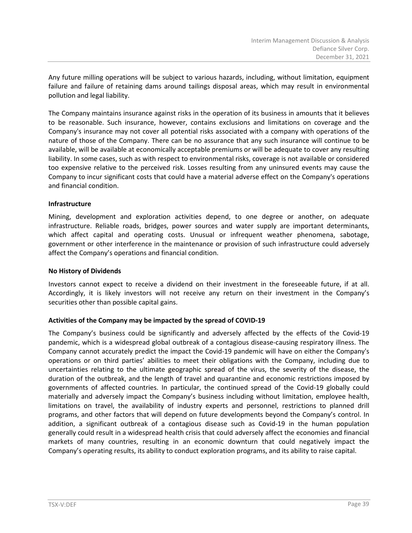Any future milling operations will be subject to various hazards, including, without limitation, equipment failure and failure of retaining dams around tailings disposal areas, which may result in environmental pollution and legal liability.

The Company maintains insurance against risks in the operation of its business in amounts that it believes to be reasonable. Such insurance, however, contains exclusions and limitations on coverage and the Company's insurance may not cover all potential risks associated with a company with operations of the nature of those of the Company. There can be no assurance that any such insurance will continue to be available, will be available at economically acceptable premiums or will be adequate to cover any resulting liability. In some cases, such as with respect to environmental risks, coverage is not available or considered too expensive relative to the perceived risk. Losses resulting from any uninsured events may cause the Company to incur significant costs that could have a material adverse effect on the Company's operations and financial condition.

# **Infrastructure**

Mining, development and exploration activities depend, to one degree or another, on adequate infrastructure. Reliable roads, bridges, power sources and water supply are important determinants, which affect capital and operating costs. Unusual or infrequent weather phenomena, sabotage, government or other interference in the maintenance or provision of such infrastructure could adversely affect the Company's operations and financial condition.

#### **No History of Dividends**

Investors cannot expect to receive a dividend on their investment in the foreseeable future, if at all. Accordingly, it is likely investors will not receive any return on their investment in the Company's securities other than possible capital gains.

# **Activities of the Company may be impacted by the spread of COVID-19**

The Company's business could be significantly and adversely affected by the effects of the Covid-19 pandemic, which is a widespread global outbreak of a contagious disease-causing respiratory illness. The Company cannot accurately predict the impact the Covid-19 pandemic will have on either the Company's operations or on third parties' abilities to meet their obligations with the Company, including due to uncertainties relating to the ultimate geographic spread of the virus, the severity of the disease, the duration of the outbreak, and the length of travel and quarantine and economic restrictions imposed by governments of affected countries. In particular, the continued spread of the Covid-19 globally could materially and adversely impact the Company's business including without limitation, employee health, limitations on travel, the availability of industry experts and personnel, restrictions to planned drill programs, and other factors that will depend on future developments beyond the Company's control. In addition, a significant outbreak of a contagious disease such as Covid-19 in the human population generally could result in a widespread health crisis that could adversely affect the economies and financial markets of many countries, resulting in an economic downturn that could negatively impact the Company's operating results, its ability to conduct exploration programs, and its ability to raise capital.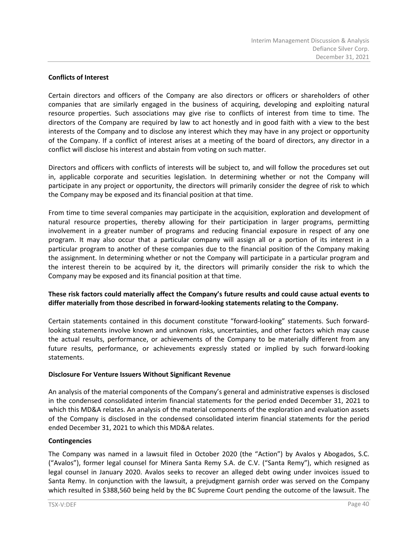# **Conflicts of Interest**

Certain directors and officers of the Company are also directors or officers or shareholders of other companies that are similarly engaged in the business of acquiring, developing and exploiting natural resource properties. Such associations may give rise to conflicts of interest from time to time. The directors of the Company are required by law to act honestly and in good faith with a view to the best interests of the Company and to disclose any interest which they may have in any project or opportunity of the Company. If a conflict of interest arises at a meeting of the board of directors, any director in a conflict will disclose his interest and abstain from voting on such matter.

Directors and officers with conflicts of interests will be subject to, and will follow the procedures set out in, applicable corporate and securities legislation. In determining whether or not the Company will participate in any project or opportunity, the directors will primarily consider the degree of risk to which the Company may be exposed and its financial position at that time.

From time to time several companies may participate in the acquisition, exploration and development of natural resource properties, thereby allowing for their participation in larger programs, permitting involvement in a greater number of programs and reducing financial exposure in respect of any one program. It may also occur that a particular company will assign all or a portion of its interest in a particular program to another of these companies due to the financial position of the Company making the assignment. In determining whether or not the Company will participate in a particular program and the interest therein to be acquired by it, the directors will primarily consider the risk to which the Company may be exposed and its financial position at that time.

# **These risk factors could materially affect the Company's future results and could cause actual events to differ materially from those described in forward-looking statements relating to the Company.**

Certain statements contained in this document constitute "forward-looking" statements. Such forwardlooking statements involve known and unknown risks, uncertainties, and other factors which may cause the actual results, performance, or achievements of the Company to be materially different from any future results, performance, or achievements expressly stated or implied by such forward-looking statements.

# **Disclosure For Venture Issuers Without Significant Revenue**

An analysis of the material components of the Company's general and administrative expenses is disclosed in the condensed consolidated interim financial statements for the period ended December 31, 2021 to which this MD&A relates. An analysis of the material components of the exploration and evaluation assets of the Company is disclosed in the condensed consolidated interim financial statements for the period ended December 31, 2021 to which this MD&A relates.

#### **Contingencies**

The Company was named in a lawsuit filed in October 2020 (the "Action") by Avalos y Abogados, S.C. ("Avalos"), former legal counsel for Minera Santa Remy S.A. de C.V. ("Santa Remy"), which resigned as legal counsel in January 2020. Avalos seeks to recover an alleged debt owing under invoices issued to Santa Remy. In conjunction with the lawsuit, a prejudgment garnish order was served on the Company which resulted in \$388,560 being held by the BC Supreme Court pending the outcome of the lawsuit. The